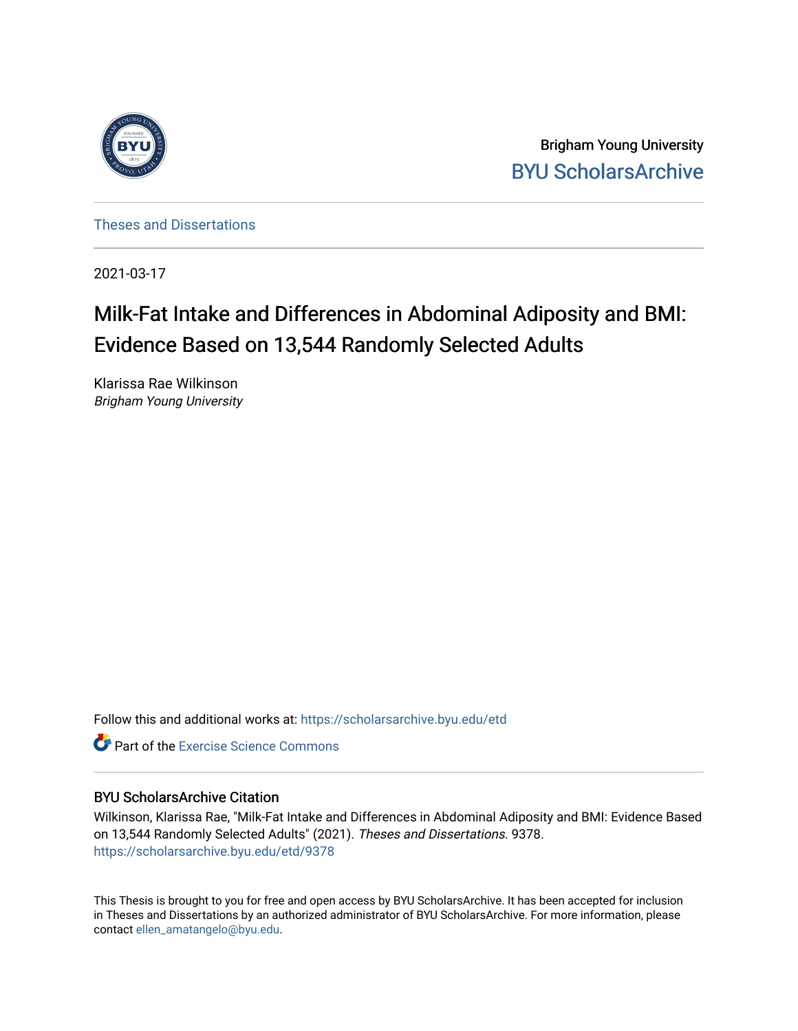

Brigham Young University [BYU ScholarsArchive](https://scholarsarchive.byu.edu/) 

[Theses and Dissertations](https://scholarsarchive.byu.edu/etd)

2021-03-17

# Milk-Fat Intake and Differences in Abdominal Adiposity and BMI: Evidence Based on 13,544 Randomly Selected Adults

Klarissa Rae Wilkinson Brigham Young University

Follow this and additional works at: [https://scholarsarchive.byu.edu/etd](https://scholarsarchive.byu.edu/etd?utm_source=scholarsarchive.byu.edu%2Fetd%2F9378&utm_medium=PDF&utm_campaign=PDFCoverPages)

**C** Part of the [Exercise Science Commons](http://network.bepress.com/hgg/discipline/1091?utm_source=scholarsarchive.byu.edu%2Fetd%2F9378&utm_medium=PDF&utm_campaign=PDFCoverPages)

# BYU ScholarsArchive Citation

Wilkinson, Klarissa Rae, "Milk-Fat Intake and Differences in Abdominal Adiposity and BMI: Evidence Based on 13,544 Randomly Selected Adults" (2021). Theses and Dissertations. 9378. [https://scholarsarchive.byu.edu/etd/9378](https://scholarsarchive.byu.edu/etd/9378?utm_source=scholarsarchive.byu.edu%2Fetd%2F9378&utm_medium=PDF&utm_campaign=PDFCoverPages) 

This Thesis is brought to you for free and open access by BYU ScholarsArchive. It has been accepted for inclusion in Theses and Dissertations by an authorized administrator of BYU ScholarsArchive. For more information, please contact [ellen\\_amatangelo@byu.edu.](mailto:ellen_amatangelo@byu.edu)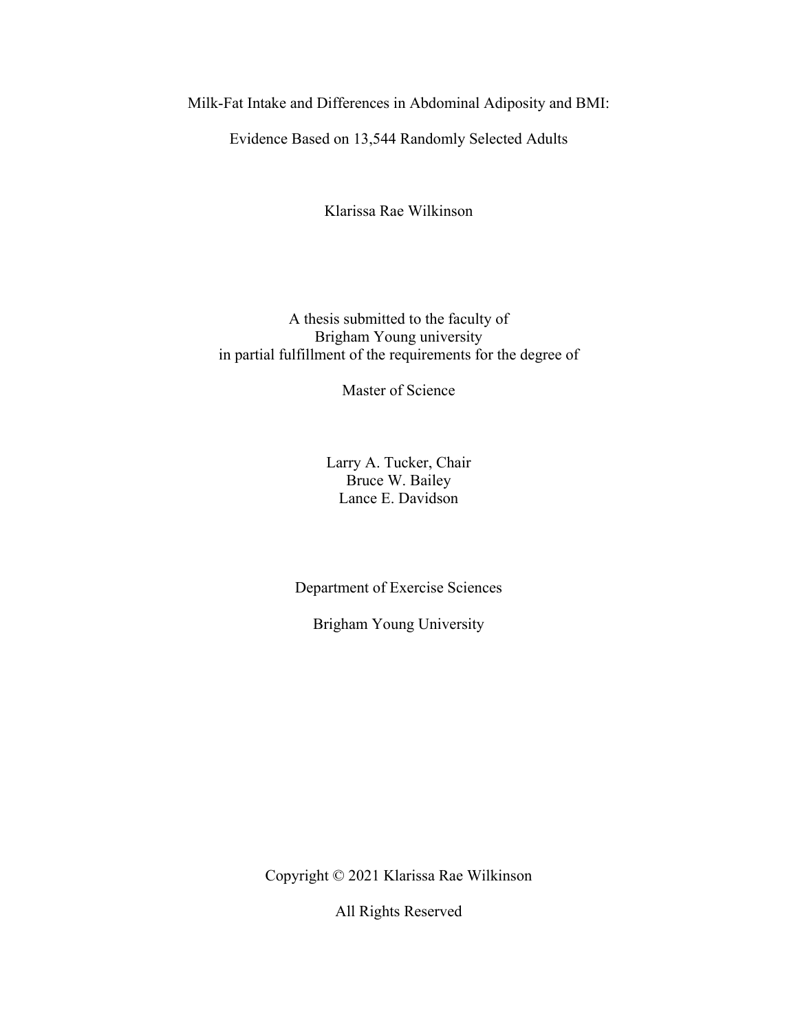<span id="page-1-0"></span>Milk-Fat Intake and Differences in Abdominal Adiposity and BMI:

Evidence Based on 13,544 Randomly Selected Adults

Klarissa Rae Wilkinson

A thesis submitted to the faculty of Brigham Young university in partial fulfillment of the requirements for the degree of

Master of Science

Larry A. Tucker, Chair Bruce W. Bailey Lance E. Davidson

Department of Exercise Sciences

Brigham Young University

Copyright © 2021 Klarissa Rae Wilkinson

All Rights Reserved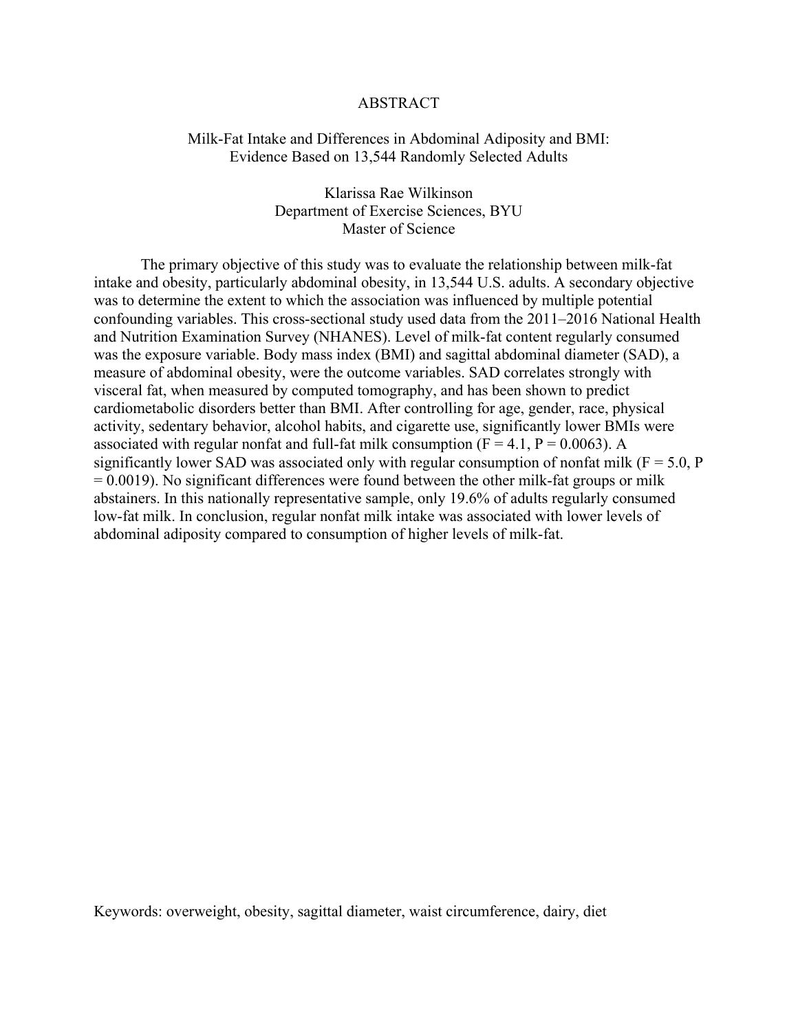#### ABSTRACT

### <span id="page-2-0"></span>Milk-Fat Intake and Differences in Abdominal Adiposity and BMI: Evidence Based on 13,544 Randomly Selected Adults

Klarissa Rae Wilkinson Department of Exercise Sciences, BYU Master of Science

The primary objective of this study was to evaluate the relationship between milk-fat intake and obesity, particularly abdominal obesity, in 13,544 U.S. adults. A secondary objective was to determine the extent to which the association was influenced by multiple potential confounding variables. This cross-sectional study used data from the 2011–2016 National Health and Nutrition Examination Survey (NHANES). Level of milk-fat content regularly consumed was the exposure variable. Body mass index (BMI) and sagittal abdominal diameter (SAD), a measure of abdominal obesity, were the outcome variables. SAD correlates strongly with visceral fat, when measured by computed tomography, and has been shown to predict cardiometabolic disorders better than BMI. After controlling for age, gender, race, physical activity, sedentary behavior, alcohol habits, and cigarette use, significantly lower BMIs were associated with regular nonfat and full-fat milk consumption ( $F = 4.1$ ,  $P = 0.0063$ ). A significantly lower SAD was associated only with regular consumption of nonfat milk ( $F = 5.0$ , P  $= 0.0019$ ). No significant differences were found between the other milk-fat groups or milk abstainers. In this nationally representative sample, only 19.6% of adults regularly consumed low-fat milk. In conclusion, regular nonfat milk intake was associated with lower levels of abdominal adiposity compared to consumption of higher levels of milk-fat.

Keywords: overweight, obesity, sagittal diameter, waist circumference, dairy, diet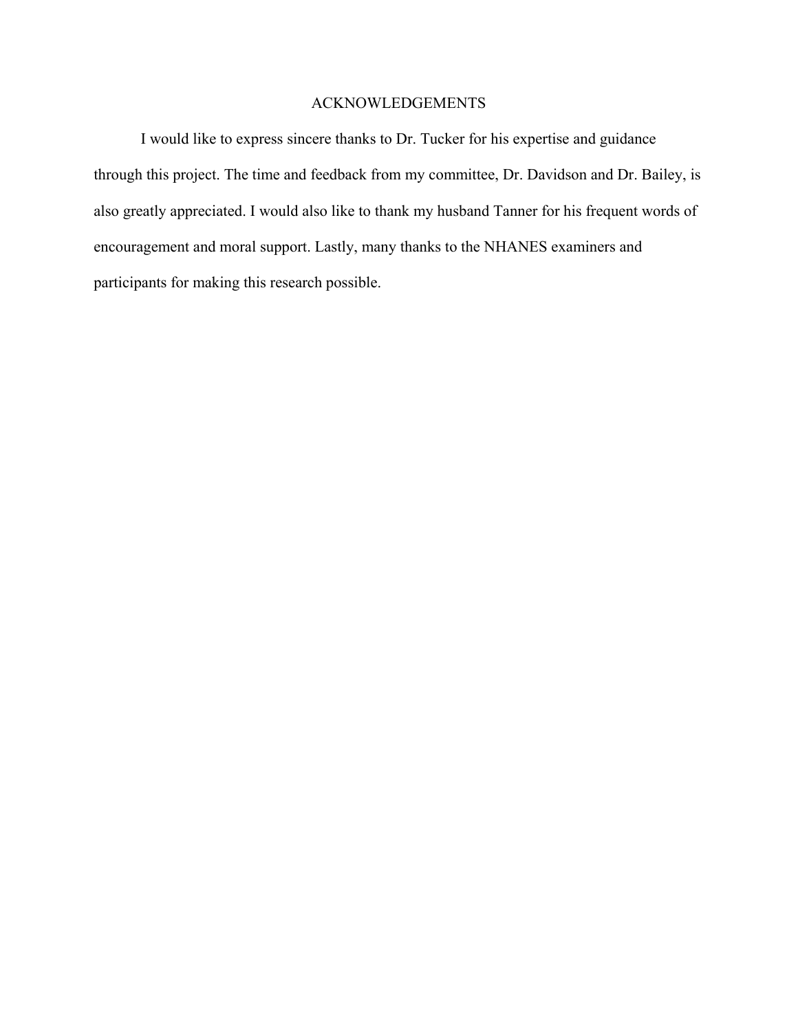# ACKNOWLEDGEMENTS

<span id="page-3-0"></span>I would like to express sincere thanks to Dr. Tucker for his expertise and guidance through this project. The time and feedback from my committee, Dr. Davidson and Dr. Bailey, is also greatly appreciated. I would also like to thank my husband Tanner for his frequent words of encouragement and moral support. Lastly, many thanks to the NHANES examiners and participants for making this research possible.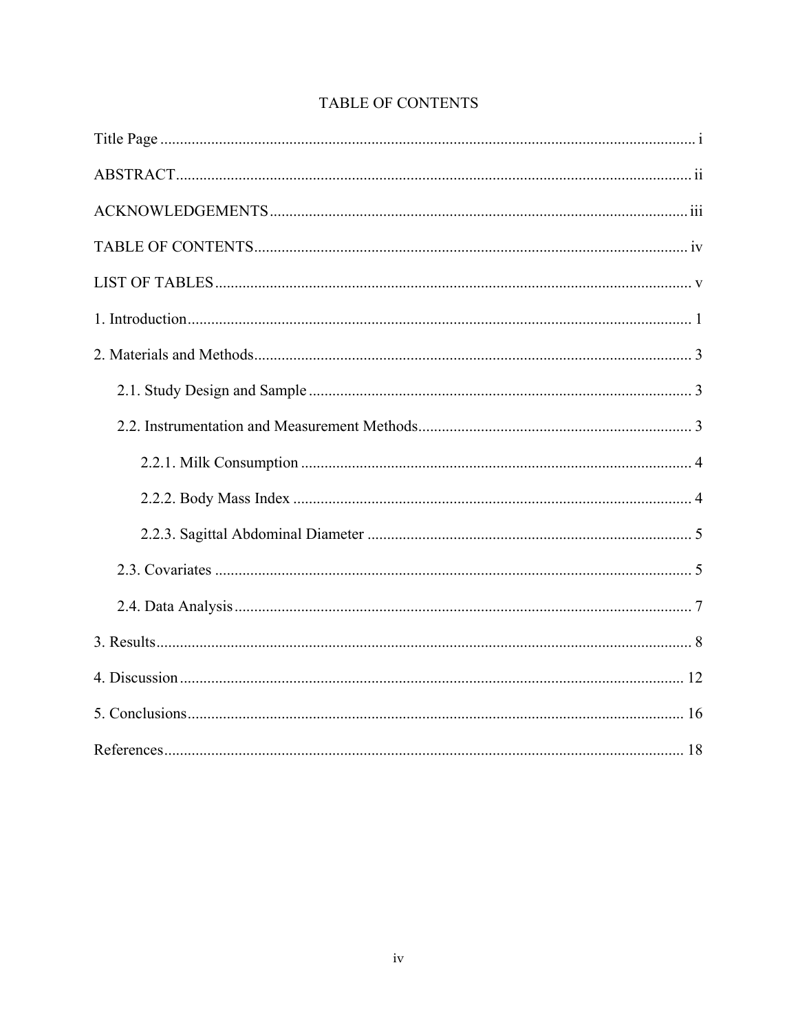<span id="page-4-0"></span>

# TABLE OF CONTENTS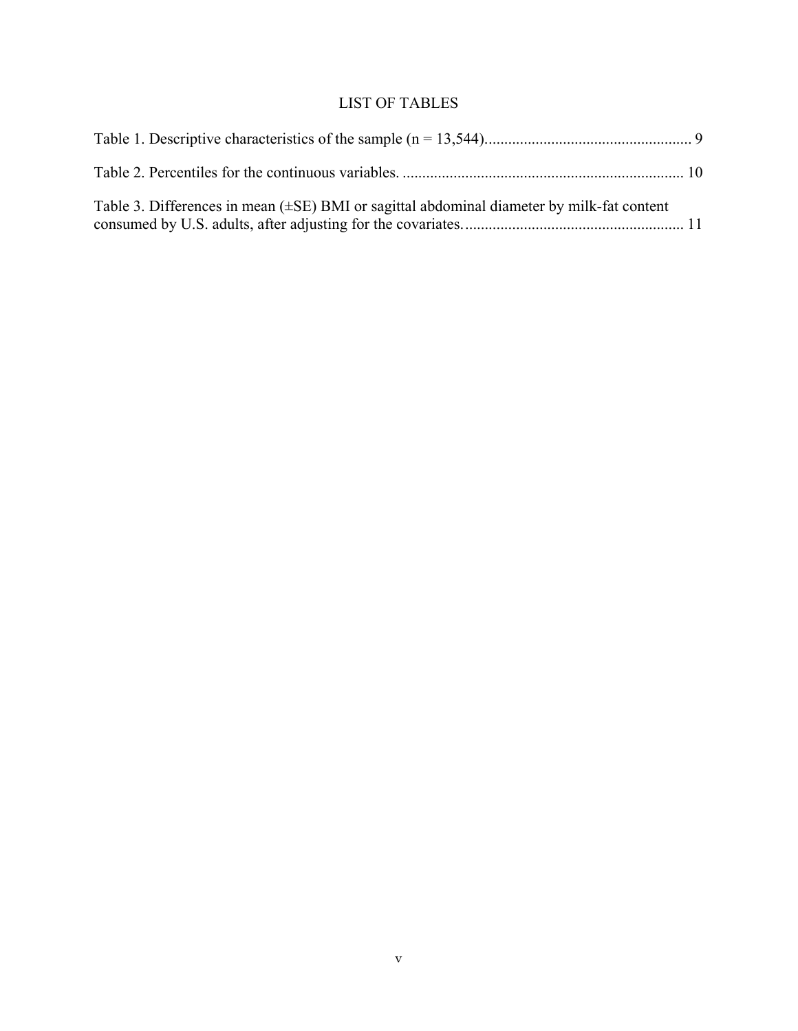# LIST OF TABLES

<span id="page-5-0"></span>

| Table 3. Differences in mean $(\pm SE)$ BMI or sagittal abdominal diameter by milk-fat content |  |
|------------------------------------------------------------------------------------------------|--|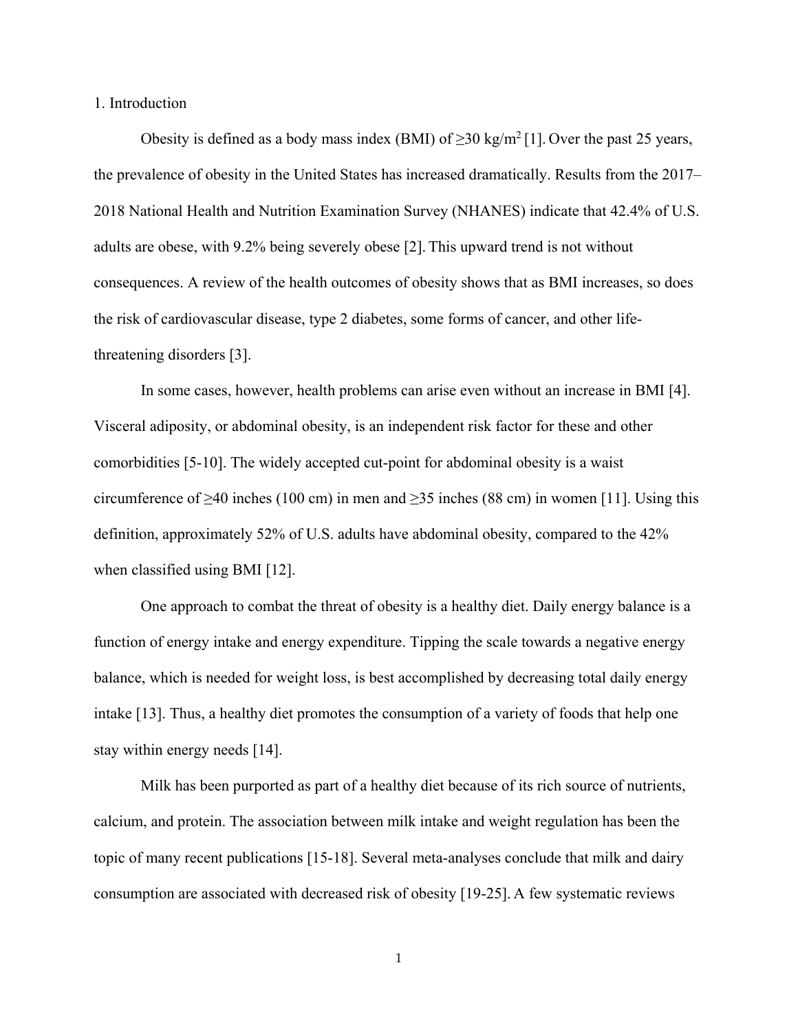<span id="page-6-0"></span>1. Introduction

Obesity is defined as a body mass index (BMI) of  $\geq$ 30 kg/m<sup>2</sup> [1]. Over the past 25 years, the prevalence of obesity in the United States has increased dramatically. Results from the 2017– 2018 National Health and Nutrition Examination Survey (NHANES) indicate that 42.4% of U.S. adults are obese, with 9.2% being severely obese [2]. This upward trend is not without consequences. A review of the health outcomes of obesity shows that as BMI increases, so does the risk of cardiovascular disease, type 2 diabetes, some forms of cancer, and other lifethreatening disorders [3].

In some cases, however, health problems can arise even without an increase in BMI [4]. Visceral adiposity, or abdominal obesity, is an independent risk factor for these and other comorbidities [5-10]. The widely accepted cut-point for abdominal obesity is a waist circumference of  $\geq$ 40 inches (100 cm) in men and  $\geq$ 35 inches (88 cm) in women [11]. Using this definition, approximately 52% of U.S. adults have abdominal obesity, compared to the 42% when classified using BMI [12].

One approach to combat the threat of obesity is a healthy diet. Daily energy balance is a function of energy intake and energy expenditure. Tipping the scale towards a negative energy balance, which is needed for weight loss, is best accomplished by decreasing total daily energy intake [13]. Thus, a healthy diet promotes the consumption of a variety of foods that help one stay within energy needs [14].

Milk has been purported as part of a healthy diet because of its rich source of nutrients, calcium, and protein. The association between milk intake and weight regulation has been the topic of many recent publications [15-18]. Several meta-analyses conclude that milk and dairy consumption are associated with decreased risk of obesity [19-25]. A few systematic reviews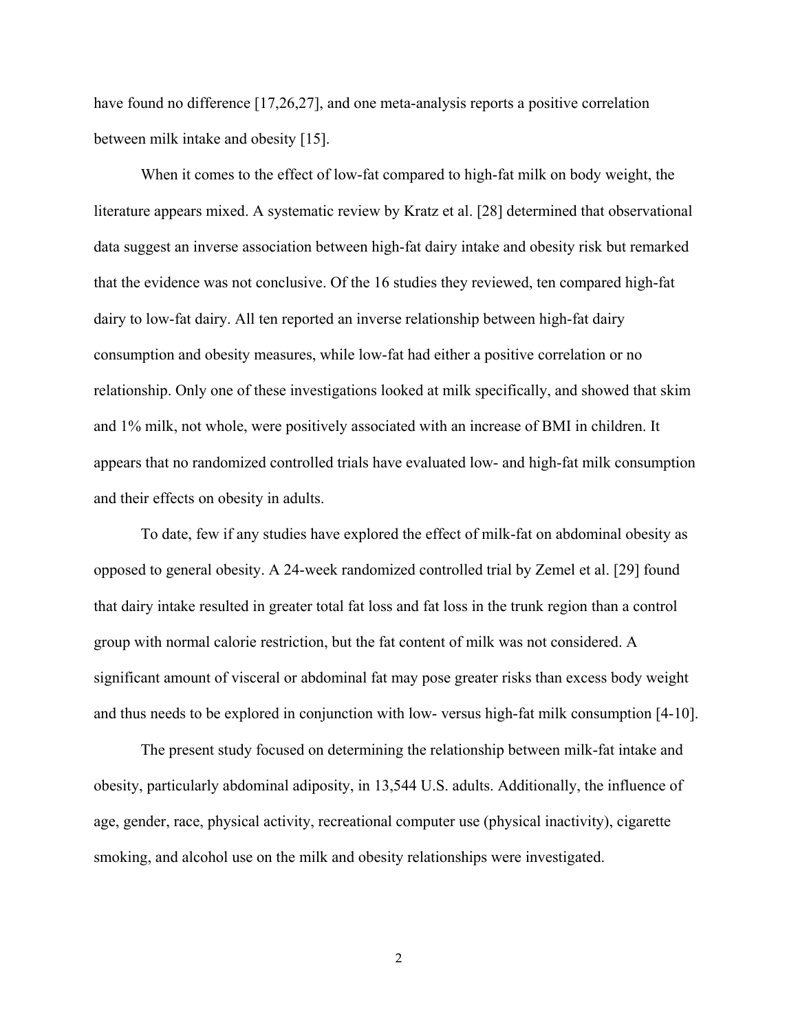have found no difference [17,26,27], and one meta-analysis reports a positive correlation between milk intake and obesity [15].

When it comes to the effect of low-fat compared to high-fat milk on body weight, the literature appears mixed. A systematic review by Kratz et al. [28] determined that observational data suggest an inverse association between high-fat dairy intake and obesity risk but remarked that the evidence was not conclusive. Of the 16 studies they reviewed, ten compared high-fat dairy to low-fat dairy. All ten reported an inverse relationship between high-fat dairy consumption and obesity measures, while low-fat had either a positive correlation or no relationship. Only one of these investigations looked at milk specifically, and showed that skim and 1% milk, not whole, were positively associated with an increase of BMI in children. It appears that no randomized controlled trials have evaluated low- and high-fat milk consumption and their effects on obesity in adults.

To date, few if any studies have explored the effect of milk-fat on abdominal obesity as opposed to general obesity. A 24-week randomized controlled trial by Zemel et al. [29] found that dairy intake resulted in greater total fat loss and fat loss in the trunk region than a control group with normal calorie restriction, but the fat content of milk was not considered. A significant amount of visceral or abdominal fat may pose greater risks than excess body weight and thus needs to be explored in conjunction with low- versus high-fat milk consumption [4-10].

The present study focused on determining the relationship between milk-fat intake and obesity, particularly abdominal adiposity, in 13,544 U.S. adults. Additionally, the influence of age, gender, race, physical activity, recreational computer use (physical inactivity), cigarette smoking, and alcohol use on the milk and obesity relationships were investigated.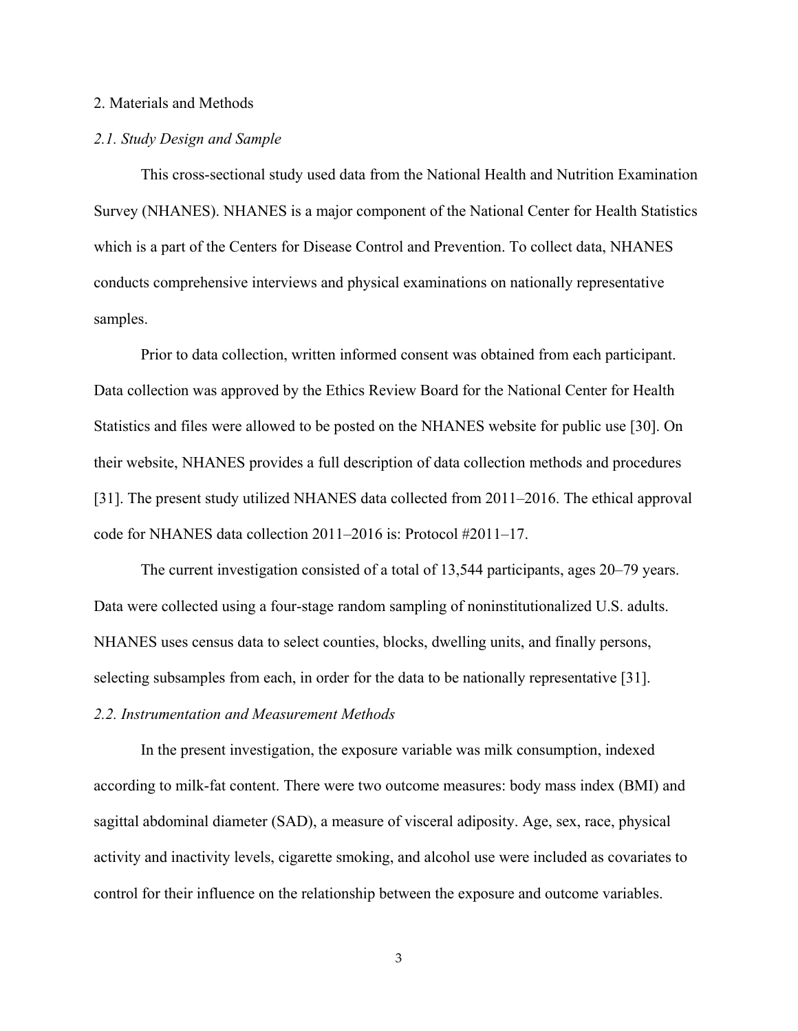#### <span id="page-8-0"></span>2. Materials and Methods

#### <span id="page-8-1"></span>*2.1. Study Design and Sample*

This cross-sectional study used data from the National Health and Nutrition Examination Survey (NHANES). NHANES is a major component of the National Center for Health Statistics which is a part of the Centers for Disease Control and Prevention. To collect data, NHANES conducts comprehensive interviews and physical examinations on nationally representative samples.

Prior to data collection, written informed consent was obtained from each participant. Data collection was approved by the Ethics Review Board for the National Center for Health Statistics and files were allowed to be posted on the NHANES website for public use [30]. On their website, NHANES provides a full description of data collection methods and procedures [31]. The present study utilized NHANES data collected from 2011–2016. The ethical approval code for NHANES data collection 2011–2016 is: Protocol #2011–17.

The current investigation consisted of a total of 13,544 participants, ages 20–79 years. Data were collected using a four-stage random sampling of noninstitutionalized U.S. adults. NHANES uses census data to select counties, blocks, dwelling units, and finally persons, selecting subsamples from each, in order for the data to be nationally representative [31]. *2.2. Instrumentation and Measurement Methods*

<span id="page-8-2"></span>In the present investigation, the exposure variable was milk consumption, indexed according to milk-fat content. There were two outcome measures: body mass index (BMI) and sagittal abdominal diameter (SAD), a measure of visceral adiposity. Age, sex, race, physical activity and inactivity levels, cigarette smoking, and alcohol use were included as covariates to control for their influence on the relationship between the exposure and outcome variables.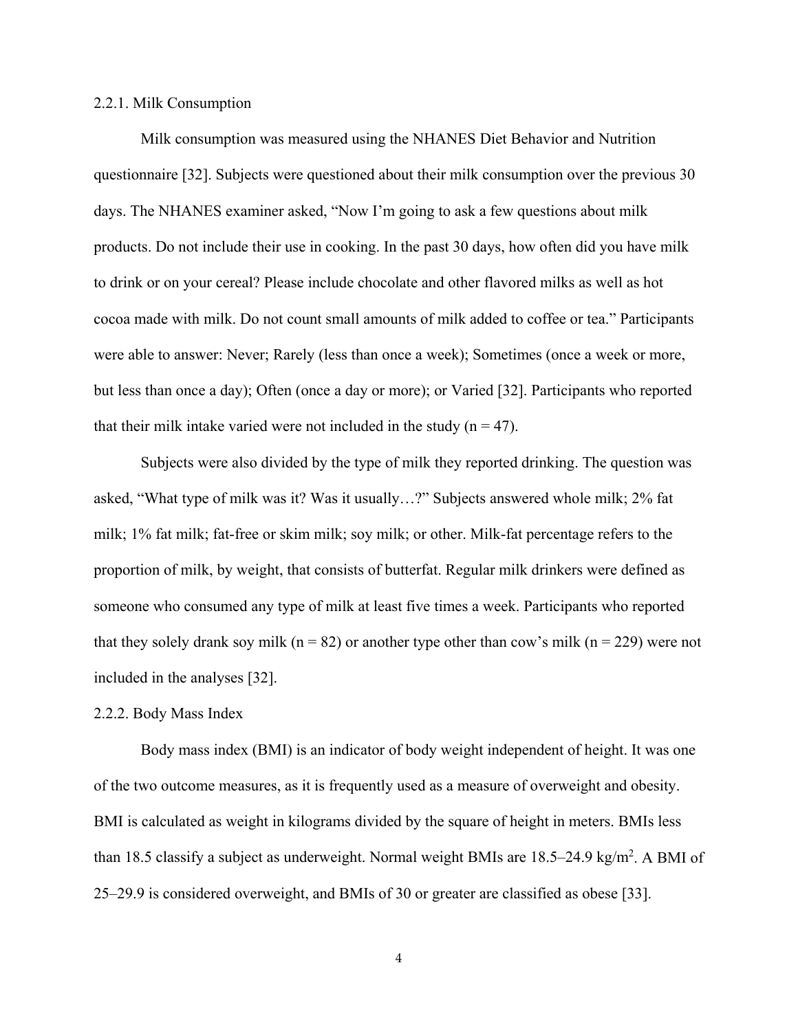#### <span id="page-9-0"></span>2.2.1. Milk Consumption

Milk consumption was measured using the NHANES Diet Behavior and Nutrition questionnaire [32]. Subjects were questioned about their milk consumption over the previous 30 days. The NHANES examiner asked, "Now I'm going to ask a few questions about milk products. Do not include their use in cooking. In the past 30 days, how often did you have milk to drink or on your cereal? Please include chocolate and other flavored milks as well as hot cocoa made with milk. Do not count small amounts of milk added to coffee or tea." Participants were able to answer: Never; Rarely (less than once a week); Sometimes (once a week or more, but less than once a day); Often (once a day or more); or Varied [32]. Participants who reported that their milk intake varied were not included in the study  $(n = 47)$ .

Subjects were also divided by the type of milk they reported drinking. The question was asked, "What type of milk was it? Was it usually…?" Subjects answered whole milk; 2% fat milk; 1% fat milk; fat-free or skim milk; soy milk; or other. Milk-fat percentage refers to the proportion of milk, by weight, that consists of butterfat. Regular milk drinkers were defined as someone who consumed any type of milk at least five times a week. Participants who reported that they solely drank soy milk ( $n = 82$ ) or another type other than cow's milk ( $n = 229$ ) were not included in the analyses [32].

#### <span id="page-9-1"></span>2.2.2. Body Mass Index

Body mass index (BMI) is an indicator of body weight independent of height. It was one of the two outcome measures, as it is frequently used as a measure of overweight and obesity. BMI is calculated as weight in kilograms divided by the square of height in meters. BMIs less than 18.5 classify a subject as underweight. Normal weight BMIs are  $18.5-24.9 \text{ kg/m}^2$ . A BMI of 25–29.9 is considered overweight, and BMIs of 30 or greater are classified as obese [33].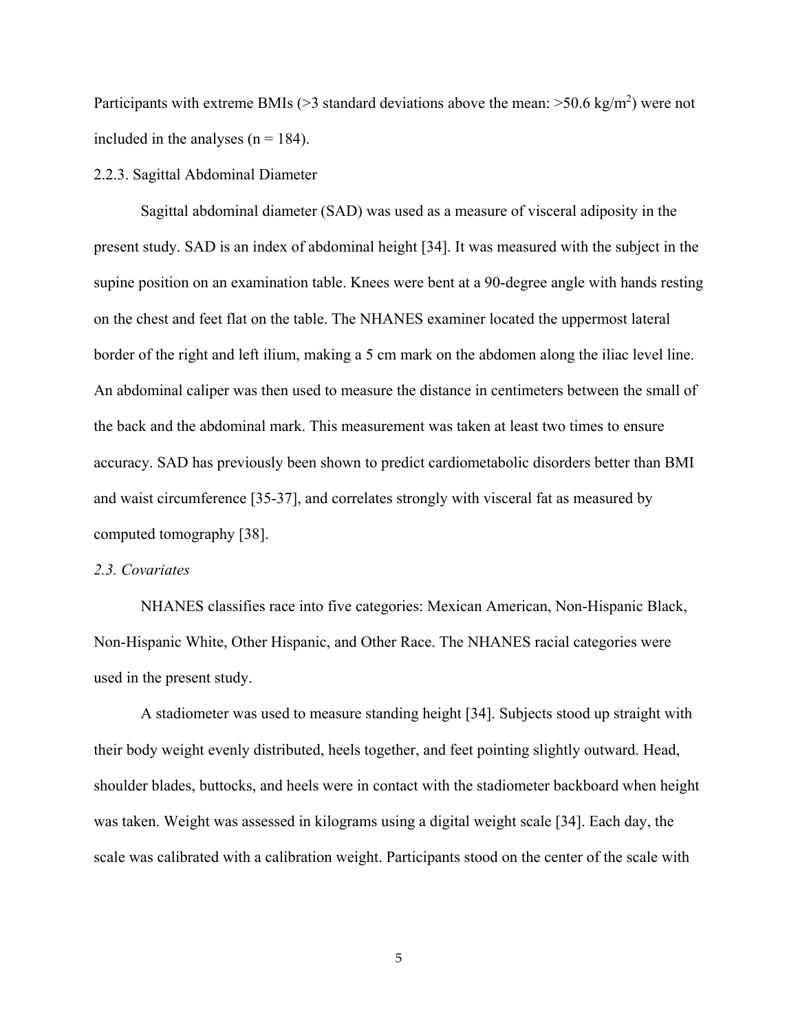Participants with extreme BMIs ( $>3$  standard deviations above the mean:  $>50.6$  kg/m<sup>2</sup>) were not included in the analyses  $(n = 184)$ .

#### <span id="page-10-0"></span>2.2.3. Sagittal Abdominal Diameter

Sagittal abdominal diameter (SAD) was used as a measure of visceral adiposity in the present study. SAD is an index of abdominal height [34]. It was measured with the subject in the supine position on an examination table. Knees were bent at a 90-degree angle with hands resting on the chest and feet flat on the table. The NHANES examiner located the uppermost lateral border of the right and left ilium, making a 5 cm mark on the abdomen along the iliac level line. An abdominal caliper was then used to measure the distance in centimeters between the small of the back and the abdominal mark. This measurement was taken at least two times to ensure accuracy. SAD has previously been shown to predict cardiometabolic disorders better than BMI and waist circumference [35-37], and correlates strongly with visceral fat as measured by computed tomography [38].

#### <span id="page-10-1"></span>*2.3. Covariates*

NHANES classifies race into five categories: Mexican American, Non-Hispanic Black, Non-Hispanic White, Other Hispanic, and Other Race. The NHANES racial categories were used in the present study.

A stadiometer was used to measure standing height [34]. Subjects stood up straight with their body weight evenly distributed, heels together, and feet pointing slightly outward. Head, shoulder blades, buttocks, and heels were in contact with the stadiometer backboard when height was taken. Weight was assessed in kilograms using a digital weight scale [34]. Each day, the scale was calibrated with a calibration weight. Participants stood on the center of the scale with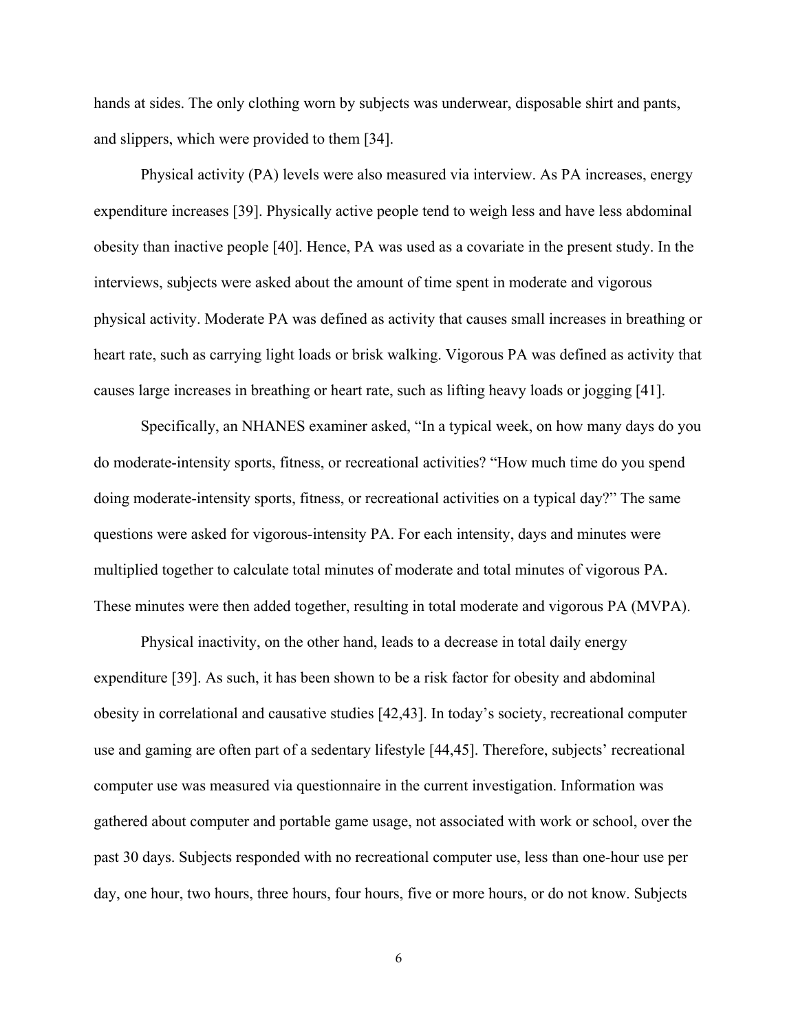hands at sides. The only clothing worn by subjects was underwear, disposable shirt and pants, and slippers, which were provided to them [34].

Physical activity (PA) levels were also measured via interview. As PA increases, energy expenditure increases [39]. Physically active people tend to weigh less and have less abdominal obesity than inactive people [40]. Hence, PA was used as a covariate in the present study. In the interviews, subjects were asked about the amount of time spent in moderate and vigorous physical activity. Moderate PA was defined as activity that causes small increases in breathing or heart rate, such as carrying light loads or brisk walking. Vigorous PA was defined as activity that causes large increases in breathing or heart rate, such as lifting heavy loads or jogging [41].

Specifically, an NHANES examiner asked, "In a typical week, on how many days do you do moderate-intensity sports, fitness, or recreational activities? "How much time do you spend doing moderate-intensity sports, fitness, or recreational activities on a typical day?" The same questions were asked for vigorous-intensity PA. For each intensity, days and minutes were multiplied together to calculate total minutes of moderate and total minutes of vigorous PA. These minutes were then added together, resulting in total moderate and vigorous PA (MVPA).

Physical inactivity, on the other hand, leads to a decrease in total daily energy expenditure [39]. As such, it has been shown to be a risk factor for obesity and abdominal obesity in correlational and causative studies [42,43]. In today's society, recreational computer use and gaming are often part of a sedentary lifestyle [44,45]. Therefore, subjects' recreational computer use was measured via questionnaire in the current investigation. Information was gathered about computer and portable game usage, not associated with work or school, over the past 30 days. Subjects responded with no recreational computer use, less than one-hour use per day, one hour, two hours, three hours, four hours, five or more hours, or do not know. Subjects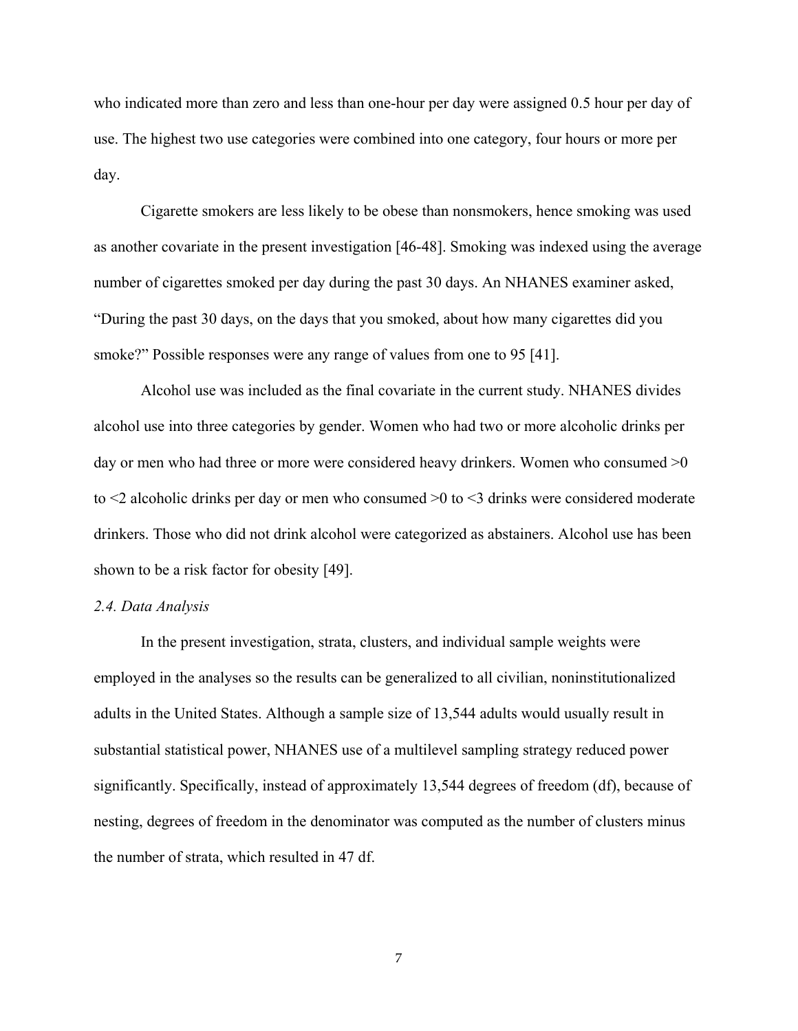who indicated more than zero and less than one-hour per day were assigned 0.5 hour per day of use. The highest two use categories were combined into one category, four hours or more per day.

Cigarette smokers are less likely to be obese than nonsmokers, hence smoking was used as another covariate in the present investigation [46-48]. Smoking was indexed using the average number of cigarettes smoked per day during the past 30 days. An NHANES examiner asked, "During the past 30 days, on the days that you smoked, about how many cigarettes did you smoke?" Possible responses were any range of values from one to 95 [41].

Alcohol use was included as the final covariate in the current study. NHANES divides alcohol use into three categories by gender. Women who had two or more alcoholic drinks per day or men who had three or more were considered heavy drinkers. Women who consumed  $\geq 0$ to <2 alcoholic drinks per day or men who consumed >0 to <3 drinks were considered moderate drinkers. Those who did not drink alcohol were categorized as abstainers. Alcohol use has been shown to be a risk factor for obesity [49].

#### <span id="page-12-0"></span>*2.4. Data Analysis*

In the present investigation, strata, clusters, and individual sample weights were employed in the analyses so the results can be generalized to all civilian, noninstitutionalized adults in the United States. Although a sample size of 13,544 adults would usually result in substantial statistical power, NHANES use of a multilevel sampling strategy reduced power significantly. Specifically, instead of approximately 13,544 degrees of freedom (df), because of nesting, degrees of freedom in the denominator was computed as the number of clusters minus the number of strata, which resulted in 47 df.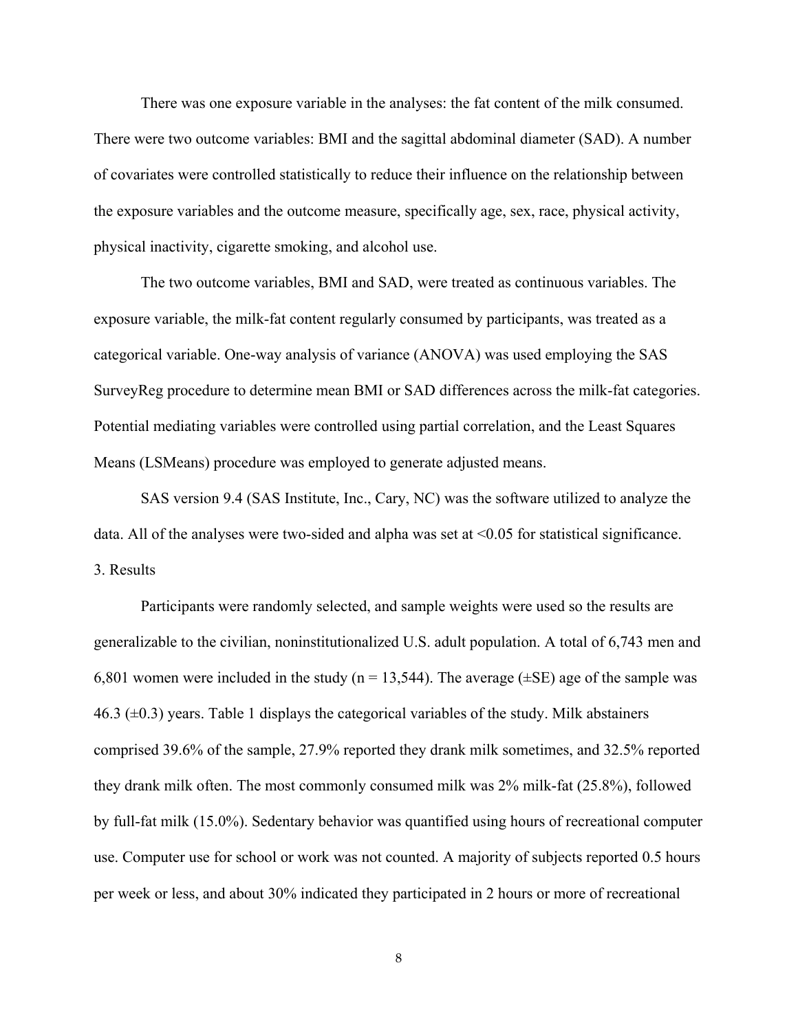There was one exposure variable in the analyses: the fat content of the milk consumed. There were two outcome variables: BMI and the sagittal abdominal diameter (SAD). A number of covariates were controlled statistically to reduce their influence on the relationship between the exposure variables and the outcome measure, specifically age, sex, race, physical activity, physical inactivity, cigarette smoking, and alcohol use.

The two outcome variables, BMI and SAD, were treated as continuous variables. The exposure variable, the milk-fat content regularly consumed by participants, was treated as a categorical variable. One-way analysis of variance (ANOVA) was used employing the SAS SurveyReg procedure to determine mean BMI or SAD differences across the milk-fat categories. Potential mediating variables were controlled using partial correlation, and the Least Squares Means (LSMeans) procedure was employed to generate adjusted means.

SAS version 9.4 (SAS Institute, Inc., Cary, NC) was the software utilized to analyze the data. All of the analyses were two-sided and alpha was set at  $\leq 0.05$  for statistical significance. 3. Results

<span id="page-13-0"></span>Participants were randomly selected, and sample weights were used so the results are generalizable to the civilian, noninstitutionalized U.S. adult population. A total of 6,743 men and 6,801 women were included in the study ( $n = 13,544$ ). The average ( $\pm$ SE) age of the sample was 46.3 ( $\pm$ 0.3) years. Table 1 displays the categorical variables of the study. Milk abstainers comprised 39.6% of the sample, 27.9% reported they drank milk sometimes, and 32.5% reported they drank milk often. The most commonly consumed milk was 2% milk-fat (25.8%), followed by full-fat milk (15.0%). Sedentary behavior was quantified using hours of recreational computer use. Computer use for school or work was not counted. A majority of subjects reported 0.5 hours per week or less, and about 30% indicated they participated in 2 hours or more of recreational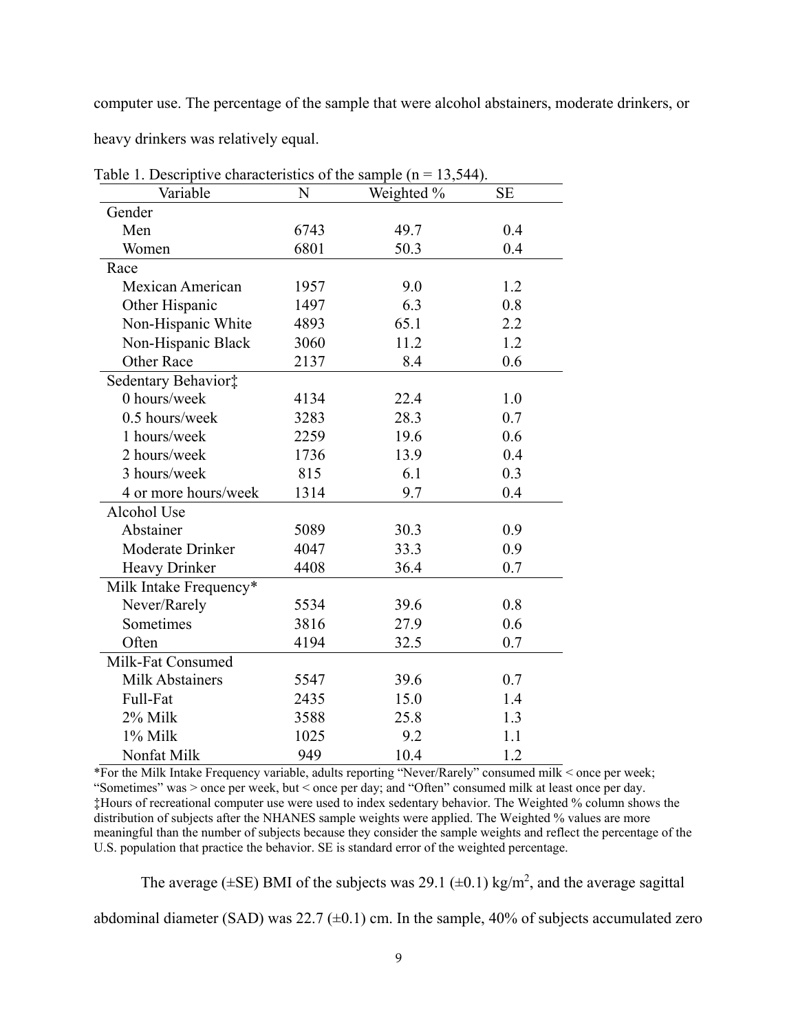computer use. The percentage of the sample that were alcohol abstainers, moderate drinkers, or

heavy drinkers was relatively equal.

| Variable                | N    | Weighted % | <b>SE</b> |
|-------------------------|------|------------|-----------|
| Gender                  |      |            |           |
| Men                     | 6743 | 49.7       | 0.4       |
| Women                   | 6801 | 50.3       | 0.4       |
| Race                    |      |            |           |
| Mexican American        | 1957 | 9.0        | 1.2       |
| Other Hispanic          | 1497 | 6.3        | 0.8       |
| Non-Hispanic White      | 4893 | 65.1       | 2.2       |
| Non-Hispanic Black      | 3060 | 11.2       | 1.2       |
| <b>Other Race</b>       | 2137 | 8.4        | 0.6       |
| Sedentary Behavior‡     |      |            |           |
| 0 hours/week            | 4134 | 22.4       | 1.0       |
| $0.5$ hours/week        | 3283 | 28.3       | 0.7       |
| 1 hours/week            | 2259 | 19.6       | 0.6       |
| 2 hours/week            | 1736 | 13.9       | 0.4       |
| 3 hours/week            | 815  | 6.1        | 0.3       |
| 4 or more hours/week    | 1314 | 9.7        | 0.4       |
| Alcohol Use             |      |            |           |
| Abstainer               | 5089 | 30.3       | 0.9       |
| <b>Moderate Drinker</b> | 4047 | 33.3       | 0.9       |
| Heavy Drinker           | 4408 | 36.4       | 0.7       |
| Milk Intake Frequency*  |      |            |           |
| Never/Rarely            | 5534 | 39.6       | 0.8       |
| Sometimes               | 3816 | 27.9       | 0.6       |
| Often                   | 4194 | 32.5       | 0.7       |
| Milk-Fat Consumed       |      |            |           |
| <b>Milk Abstainers</b>  | 5547 | 39.6       | 0.7       |
| Full-Fat                | 2435 | 15.0       | 1.4       |
| 2% Milk                 | 3588 | 25.8       | 1.3       |
| 1% Milk                 | 1025 | 9.2        | 1.1       |
| Nonfat Milk             | 949  | 10.4       | 1.2       |

<span id="page-14-0"></span>Table 1. Descriptive characteristics of the sample  $(n - 12, 544)$ .

\*For the Milk Intake Frequency variable, adults reporting "Never/Rarely" consumed milk < once per week; "Sometimes" was > once per week, but < once per day; and "Often" consumed milk at least once per day. ‡Hours of recreational computer use were used to index sedentary behavior. The Weighted % column shows the distribution of subjects after the NHANES sample weights were applied. The Weighted % values are more meaningful than the number of subjects because they consider the sample weights and reflect the percentage of the U.S. population that practice the behavior. SE is standard error of the weighted percentage.

The average ( $\pm$ SE) BMI of the subjects was 29.1 ( $\pm$ 0.1) kg/m<sup>2</sup>, and the average sagittal

abdominal diameter (SAD) was 22.7  $(\pm 0.1)$  cm. In the sample, 40% of subjects accumulated zero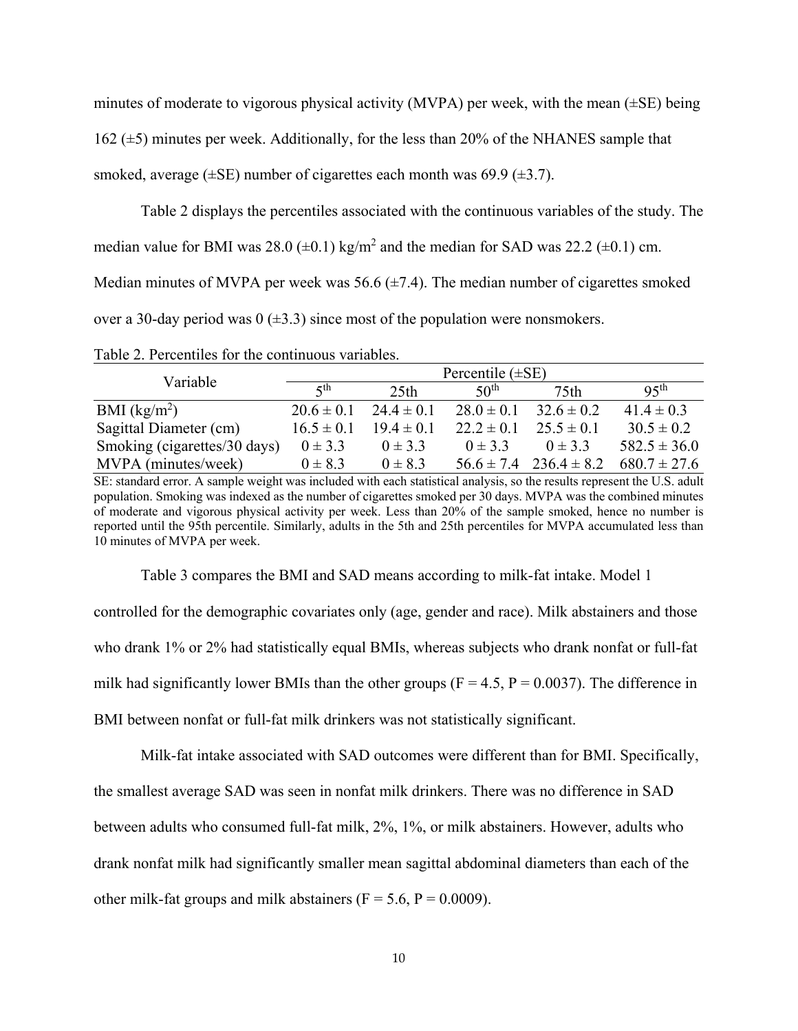minutes of moderate to vigorous physical activity (MVPA) per week, with the mean  $(\pm SE)$  being 162 ( $\pm$ 5) minutes per week. Additionally, for the less than 20% of the NHANES sample that smoked, average ( $\pm$ SE) number of cigarettes each month was 69.9 ( $\pm$ 3.7).

Table 2 displays the percentiles associated with the continuous variables of the study. The

median value for BMI was  $28.0$  ( $\pm$ 0.1) kg/m<sup>2</sup> and the median for SAD was  $22.2$  ( $\pm$ 0.1) cm.

Median minutes of MVPA per week was 56.6  $(\pm 7.4)$ . The median number of cigarettes smoked

over a 30-day period was  $0$  ( $\pm$ 3.3) since most of the population were nonsmokers.

| Variable                     | Percentile $(\pm SE)$ |                  |                  |                  |                  |
|------------------------------|-----------------------|------------------|------------------|------------------|------------------|
|                              | $\zeta$ th            | 25 <sub>th</sub> | 50 <sup>th</sup> | 75 <sub>th</sub> | 95 <sup>th</sup> |
| BMI $(kg/m2)$                | $20.6 \pm 0.1$        | $24.4 \pm 0.1$   | $28.0 \pm 0.1$   | $32.6 \pm 0.2$   | $41.4 \pm 0.3$   |
| Sagittal Diameter (cm)       | $16.5 \pm 0.1$        | $19.4 \pm 0.1$   | $22.2 \pm 0.1$   | $25.5 \pm 0.1$   | $30.5 \pm 0.2$   |
| Smoking (cigarettes/30 days) | $0 \pm 3.3$           | $0 \pm 3.3$      | $0 \pm 3.3$      | $0 \pm 3.3$      | $582.5 \pm 36.0$ |
| MVPA (minutes/week)          | $0 \pm 8.3$           | $0 \pm 8.3$      | $56.6 \pm 7.4$   | $236.4 \pm 8.2$  | $680.7 \pm 27.6$ |

<span id="page-15-0"></span>Table 2. Percentiles for the continuous variables.

SE: standard error. A sample weight was included with each statistical analysis, so the results represent the U.S. adult population. Smoking was indexed as the number of cigarettes smoked per 30 days. MVPA was the combined minutes of moderate and vigorous physical activity per week. Less than 20% of the sample smoked, hence no number is reported until the 95th percentile. Similarly, adults in the 5th and 25th percentiles for MVPA accumulated less than 10 minutes of MVPA per week.

Table 3 compares the BMI and SAD means according to milk-fat intake. Model 1

controlled for the demographic covariates only (age, gender and race). Milk abstainers and those who drank 1% or 2% had statistically equal BMIs, whereas subjects who drank nonfat or full-fat milk had significantly lower BMIs than the other groups ( $F = 4.5$ ,  $P = 0.0037$ ). The difference in BMI between nonfat or full-fat milk drinkers was not statistically significant.

Milk-fat intake associated with SAD outcomes were different than for BMI. Specifically, the smallest average SAD was seen in nonfat milk drinkers. There was no difference in SAD between adults who consumed full-fat milk, 2%, 1%, or milk abstainers. However, adults who drank nonfat milk had significantly smaller mean sagittal abdominal diameters than each of the other milk-fat groups and milk abstainers ( $F = 5.6$ ,  $P = 0.0009$ ).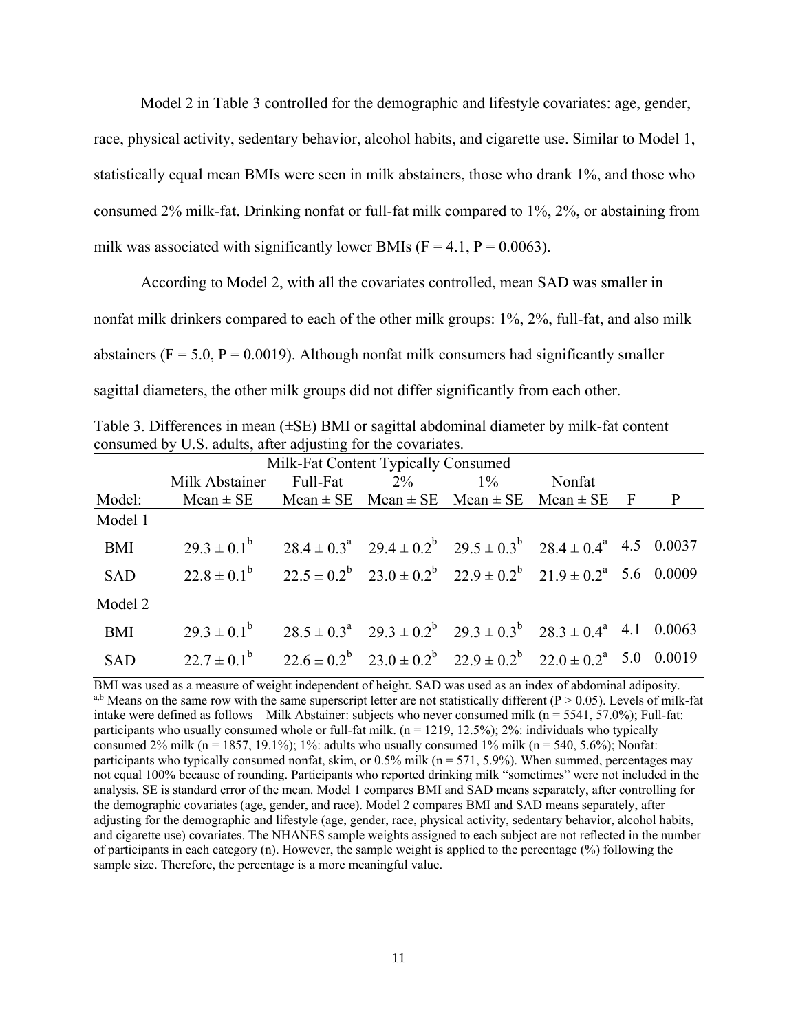Model 2 in Table 3 controlled for the demographic and lifestyle covariates: age, gender, race, physical activity, sedentary behavior, alcohol habits, and cigarette use. Similar to Model 1, statistically equal mean BMIs were seen in milk abstainers, those who drank 1%, and those who consumed 2% milk-fat. Drinking nonfat or full-fat milk compared to 1%, 2%, or abstaining from milk was associated with significantly lower BMIs ( $F = 4.1$ ,  $P = 0.0063$ ).

According to Model 2, with all the covariates controlled, mean SAD was smaller in nonfat milk drinkers compared to each of the other milk groups: 1%, 2%, full-fat, and also milk abstainers ( $F = 5.0$ ,  $P = 0.0019$ ). Although nonfat milk consumers had significantly smaller sagittal diameters, the other milk groups did not differ significantly from each other.

<span id="page-16-0"></span>Table 3. Differences in mean (*±*SE) BMI or sagittal abdominal diameter by milk-fat content consumed by U.S. adults, after adjusting for the covariates.

|            | Milk-Fat Content Typically Consumed                                                                 |  |  |  |        |              |
|------------|-----------------------------------------------------------------------------------------------------|--|--|--|--------|--------------|
|            | Milk Abstainer Full-Fat 2% 1%                                                                       |  |  |  | Nonfat |              |
| Model:     | Mean $\pm$ SE Mean $\pm$ SE Mean $\pm$ SE Mean $\pm$ SE Mean $\pm$ SE F                             |  |  |  |        | $\mathbf{P}$ |
| Model 1    |                                                                                                     |  |  |  |        |              |
| BMI        | $29.3 \pm 0.1^b$ $28.4 \pm 0.3^a$ $29.4 \pm 0.2^b$ $29.5 \pm 0.3^b$ $28.4 \pm 0.4^a$ 4.5 0.0037     |  |  |  |        |              |
| SAD        | $22.8 \pm 0.1^b$ $22.5 \pm 0.2^b$ $23.0 \pm 0.2^b$ $22.9 \pm 0.2^b$ $21.9 \pm 0.2^a$ 5.6 0.0009     |  |  |  |        |              |
| Model 2    |                                                                                                     |  |  |  |        |              |
| <b>BMI</b> | $29.3 \pm 0.1^b$ $28.5 \pm 0.3^a$ $29.3 \pm 0.2^b$ $29.3 \pm 0.3^b$ $28.3 \pm 0.4^a$ 4.1 0.0063     |  |  |  |        |              |
| <b>SAD</b> | $22.7 \pm 0.1^b$ $22.6 \pm 0.2^b$ $23.0 \pm 0.2^b$ $22.9 \pm 0.2^b$ $22.0 \pm 0.2^a$ $5.0$ $0.0019$ |  |  |  |        |              |

BMI was used as a measure of weight independent of height. SAD was used as an index of abdominal adiposity. a,b Means on the same row with the same superscript letter are not statistically different  $(P > 0.05)$ . Levels of milk-fat intake were defined as follows—Milk Abstainer: subjects who never consumed milk ( $n = 5541, 57.0\%$ ); Full-fat: participants who usually consumed whole or full-fat milk.  $(n = 1219, 12.5\%)$ ;  $2\%$ : individuals who typically consumed 2% milk (n = 1857, 19.1%); 1%: adults who usually consumed 1% milk (n = 540, 5.6%); Nonfat: participants who typically consumed nonfat, skim, or  $0.5\%$  milk ( $n = 571, 5.9\%$ ). When summed, percentages may not equal 100% because of rounding. Participants who reported drinking milk "sometimes" were not included in the analysis. SE is standard error of the mean. Model 1 compares BMI and SAD means separately, after controlling for the demographic covariates (age, gender, and race). Model 2 compares BMI and SAD means separately, after adjusting for the demographic and lifestyle (age, gender, race, physical activity, sedentary behavior, alcohol habits, and cigarette use) covariates. The NHANES sample weights assigned to each subject are not reflected in the number of participants in each category (n). However, the sample weight is applied to the percentage (%) following the sample size. Therefore, the percentage is a more meaningful value.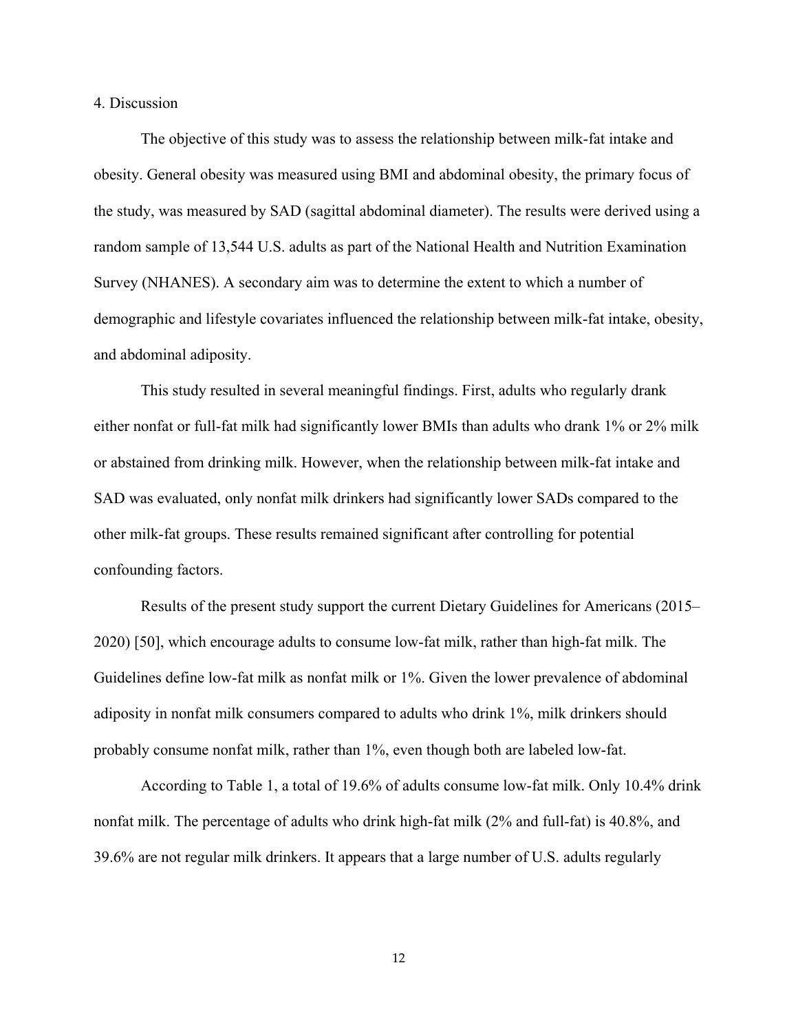<span id="page-17-0"></span>4. Discussion

The objective of this study was to assess the relationship between milk-fat intake and obesity. General obesity was measured using BMI and abdominal obesity, the primary focus of the study, was measured by SAD (sagittal abdominal diameter). The results were derived using a random sample of 13,544 U.S. adults as part of the National Health and Nutrition Examination Survey (NHANES). A secondary aim was to determine the extent to which a number of demographic and lifestyle covariates influenced the relationship between milk-fat intake, obesity, and abdominal adiposity.

This study resulted in several meaningful findings. First, adults who regularly drank either nonfat or full-fat milk had significantly lower BMIs than adults who drank 1% or 2% milk or abstained from drinking milk. However, when the relationship between milk-fat intake and SAD was evaluated, only nonfat milk drinkers had significantly lower SADs compared to the other milk-fat groups. These results remained significant after controlling for potential confounding factors.

Results of the present study support the current Dietary Guidelines for Americans (2015– 2020) [50], which encourage adults to consume low-fat milk, rather than high-fat milk. The Guidelines define low-fat milk as nonfat milk or 1%. Given the lower prevalence of abdominal adiposity in nonfat milk consumers compared to adults who drink 1%, milk drinkers should probably consume nonfat milk, rather than 1%, even though both are labeled low-fat.

According to Table 1, a total of 19.6% of adults consume low-fat milk. Only 10.4% drink nonfat milk. The percentage of adults who drink high-fat milk (2% and full-fat) is 40.8%, and 39.6% are not regular milk drinkers. It appears that a large number of U.S. adults regularly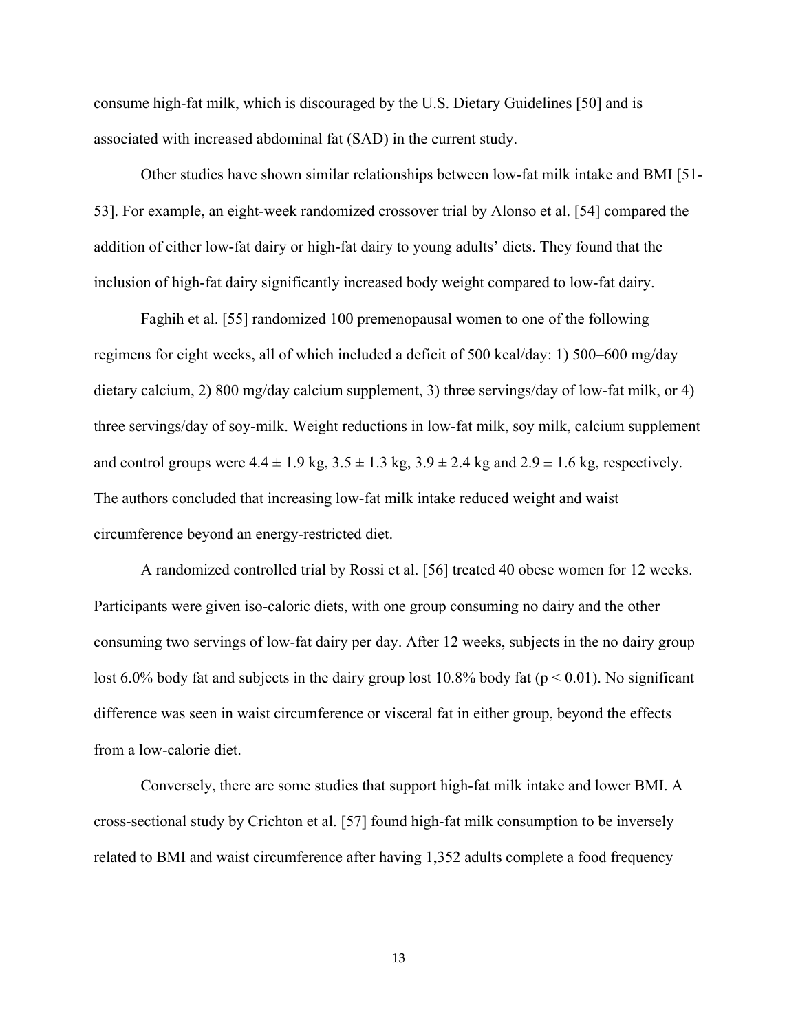consume high-fat milk, which is discouraged by the U.S. Dietary Guidelines [50] and is associated with increased abdominal fat (SAD) in the current study.

Other studies have shown similar relationships between low-fat milk intake and BMI [51- 53]. For example, an eight-week randomized crossover trial by Alonso et al. [54] compared the addition of either low-fat dairy or high-fat dairy to young adults' diets. They found that the inclusion of high-fat dairy significantly increased body weight compared to low-fat dairy.

Faghih et al. [55] randomized 100 premenopausal women to one of the following regimens for eight weeks, all of which included a deficit of 500 kcal/day: 1) 500–600 mg/day dietary calcium, 2) 800 mg/day calcium supplement, 3) three servings/day of low-fat milk, or 4) three servings/day of soy-milk. Weight reductions in low-fat milk, soy milk, calcium supplement and control groups were  $4.4 \pm 1.9$  kg,  $3.5 \pm 1.3$  kg,  $3.9 \pm 2.4$  kg and  $2.9 \pm 1.6$  kg, respectively. The authors concluded that increasing low-fat milk intake reduced weight and waist circumference beyond an energy-restricted diet.

A randomized controlled trial by Rossi et al. [56] treated 40 obese women for 12 weeks. Participants were given iso-caloric diets, with one group consuming no dairy and the other consuming two servings of low-fat dairy per day. After 12 weeks, subjects in the no dairy group lost 6.0% body fat and subjects in the dairy group lost 10.8% body fat ( $p < 0.01$ ). No significant difference was seen in waist circumference or visceral fat in either group, beyond the effects from a low-calorie diet.

Conversely, there are some studies that support high-fat milk intake and lower BMI. A cross-sectional study by Crichton et al. [57] found high-fat milk consumption to be inversely related to BMI and waist circumference after having 1,352 adults complete a food frequency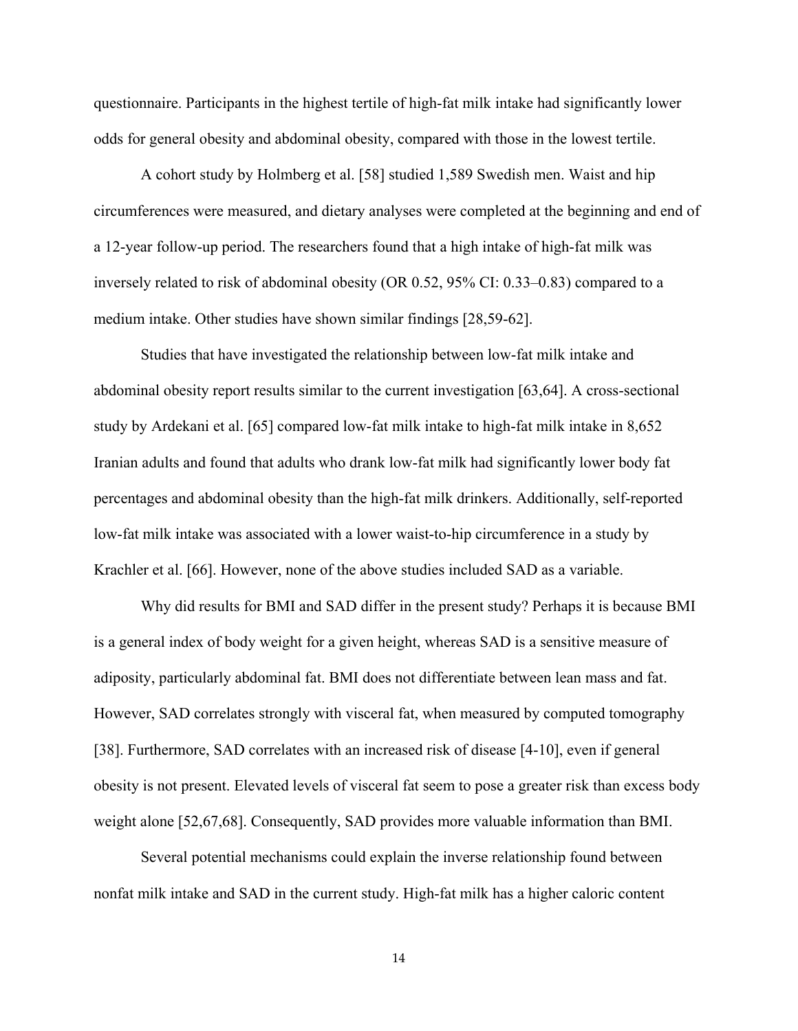questionnaire. Participants in the highest tertile of high-fat milk intake had significantly lower odds for general obesity and abdominal obesity, compared with those in the lowest tertile.

A cohort study by Holmberg et al. [58] studied 1,589 Swedish men. Waist and hip circumferences were measured, and dietary analyses were completed at the beginning and end of a 12-year follow-up period. The researchers found that a high intake of high-fat milk was inversely related to risk of abdominal obesity (OR 0.52, 95% CI: 0.33–0.83) compared to a medium intake. Other studies have shown similar findings [28,59-62].

Studies that have investigated the relationship between low-fat milk intake and abdominal obesity report results similar to the current investigation [63,64]. A cross-sectional study by Ardekani et al. [65] compared low-fat milk intake to high-fat milk intake in 8,652 Iranian adults and found that adults who drank low-fat milk had significantly lower body fat percentages and abdominal obesity than the high-fat milk drinkers. Additionally, self-reported low-fat milk intake was associated with a lower waist-to-hip circumference in a study by Krachler et al. [66]. However, none of the above studies included SAD as a variable.

Why did results for BMI and SAD differ in the present study? Perhaps it is because BMI is a general index of body weight for a given height, whereas SAD is a sensitive measure of adiposity, particularly abdominal fat. BMI does not differentiate between lean mass and fat. However, SAD correlates strongly with visceral fat, when measured by computed tomography [38]. Furthermore, SAD correlates with an increased risk of disease [4-10], even if general obesity is not present. Elevated levels of visceral fat seem to pose a greater risk than excess body weight alone [52,67,68]. Consequently, SAD provides more valuable information than BMI.

Several potential mechanisms could explain the inverse relationship found between nonfat milk intake and SAD in the current study. High-fat milk has a higher caloric content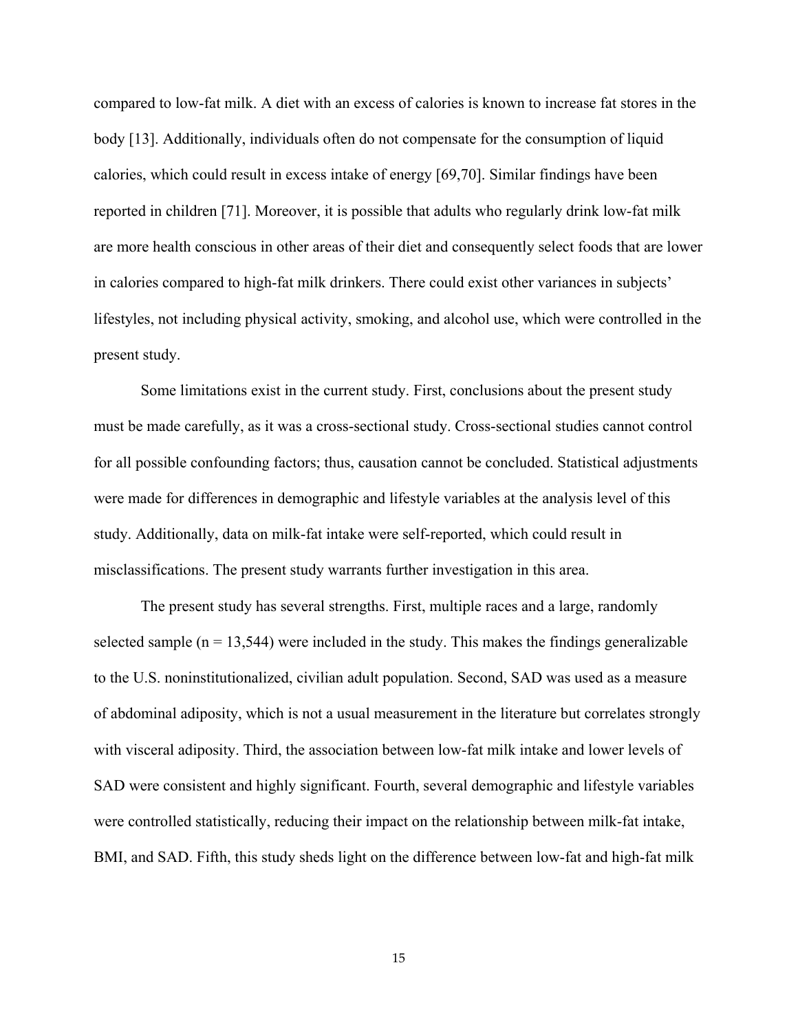compared to low-fat milk. A diet with an excess of calories is known to increase fat stores in the body [13]. Additionally, individuals often do not compensate for the consumption of liquid calories, which could result in excess intake of energy [69,70]. Similar findings have been reported in children [71]. Moreover, it is possible that adults who regularly drink low-fat milk are more health conscious in other areas of their diet and consequently select foods that are lower in calories compared to high-fat milk drinkers. There could exist other variances in subjects' lifestyles, not including physical activity, smoking, and alcohol use, which were controlled in the present study.

Some limitations exist in the current study. First, conclusions about the present study must be made carefully, as it was a cross-sectional study. Cross-sectional studies cannot control for all possible confounding factors; thus, causation cannot be concluded. Statistical adjustments were made for differences in demographic and lifestyle variables at the analysis level of this study. Additionally, data on milk-fat intake were self-reported, which could result in misclassifications. The present study warrants further investigation in this area.

The present study has several strengths. First, multiple races and a large, randomly selected sample  $(n = 13,544)$  were included in the study. This makes the findings generalizable to the U.S. noninstitutionalized, civilian adult population. Second, SAD was used as a measure of abdominal adiposity, which is not a usual measurement in the literature but correlates strongly with visceral adiposity. Third, the association between low-fat milk intake and lower levels of SAD were consistent and highly significant. Fourth, several demographic and lifestyle variables were controlled statistically, reducing their impact on the relationship between milk-fat intake, BMI, and SAD. Fifth, this study sheds light on the difference between low-fat and high-fat milk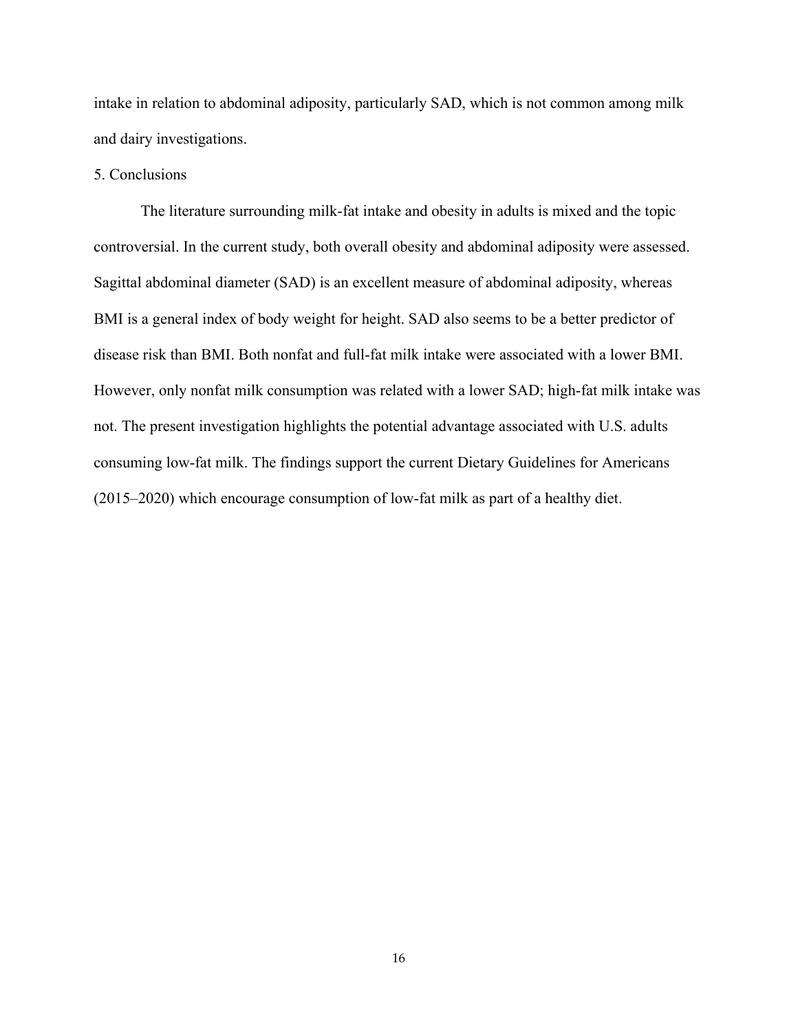intake in relation to abdominal adiposity, particularly SAD, which is not common among milk and dairy investigations.

# <span id="page-21-0"></span>5. Conclusions

The literature surrounding milk-fat intake and obesity in adults is mixed and the topic controversial. In the current study, both overall obesity and abdominal adiposity were assessed. Sagittal abdominal diameter (SAD) is an excellent measure of abdominal adiposity, whereas BMI is a general index of body weight for height. SAD also seems to be a better predictor of disease risk than BMI. Both nonfat and full-fat milk intake were associated with a lower BMI. However, only nonfat milk consumption was related with a lower SAD; high-fat milk intake was not. The present investigation highlights the potential advantage associated with U.S. adults consuming low-fat milk. The findings support the current Dietary Guidelines for Americans (2015–2020) which encourage consumption of low-fat milk as part of a healthy diet.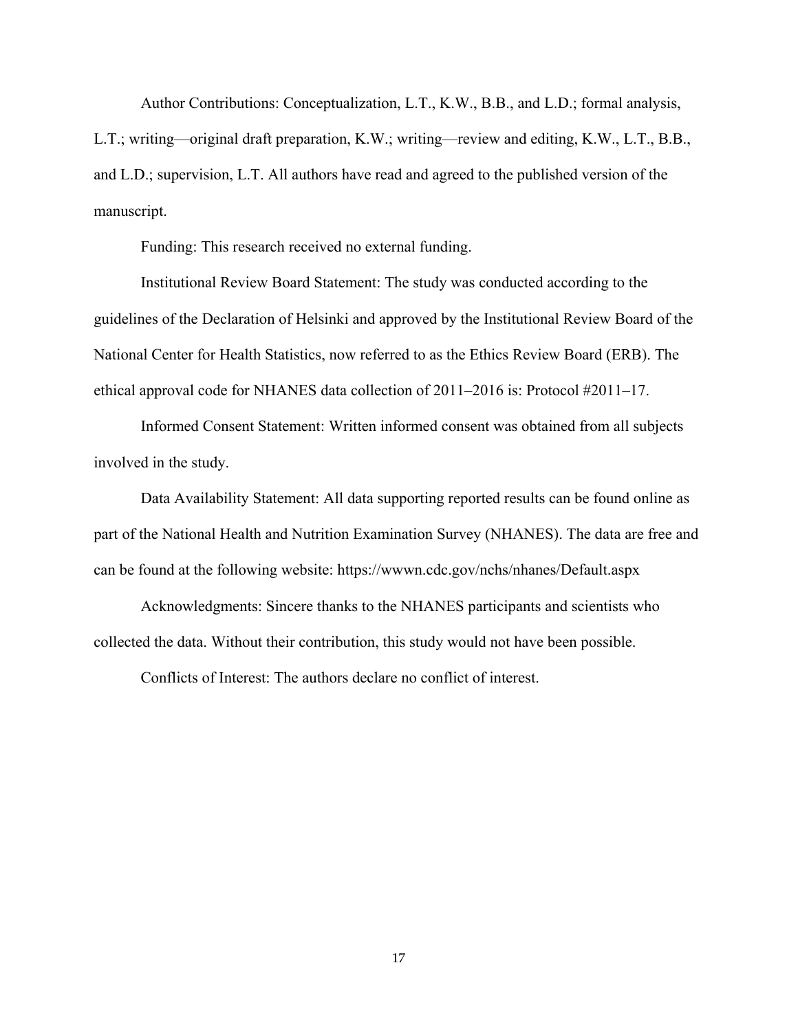Author Contributions: Conceptualization, L.T., K.W., B.B., and L.D.; formal analysis,

L.T.; writing—original draft preparation, K.W.; writing—review and editing, K.W., L.T., B.B., and L.D.; supervision, L.T. All authors have read and agreed to the published version of the manuscript.

Funding: This research received no external funding.

Institutional Review Board Statement: The study was conducted according to the guidelines of the Declaration of Helsinki and approved by the Institutional Review Board of the National Center for Health Statistics, now referred to as the Ethics Review Board (ERB). The ethical approval code for NHANES data collection of 2011–2016 is: Protocol #2011–17.

Informed Consent Statement: Written informed consent was obtained from all subjects involved in the study.

Data Availability Statement: All data supporting reported results can be found online as part of the National Health and Nutrition Examination Survey (NHANES). The data are free and can be found at the following website: https://wwwn.cdc.gov/nchs/nhanes/Default.aspx

Acknowledgments: Sincere thanks to the NHANES participants and scientists who collected the data. Without their contribution, this study would not have been possible.

Conflicts of Interest: The authors declare no conflict of interest.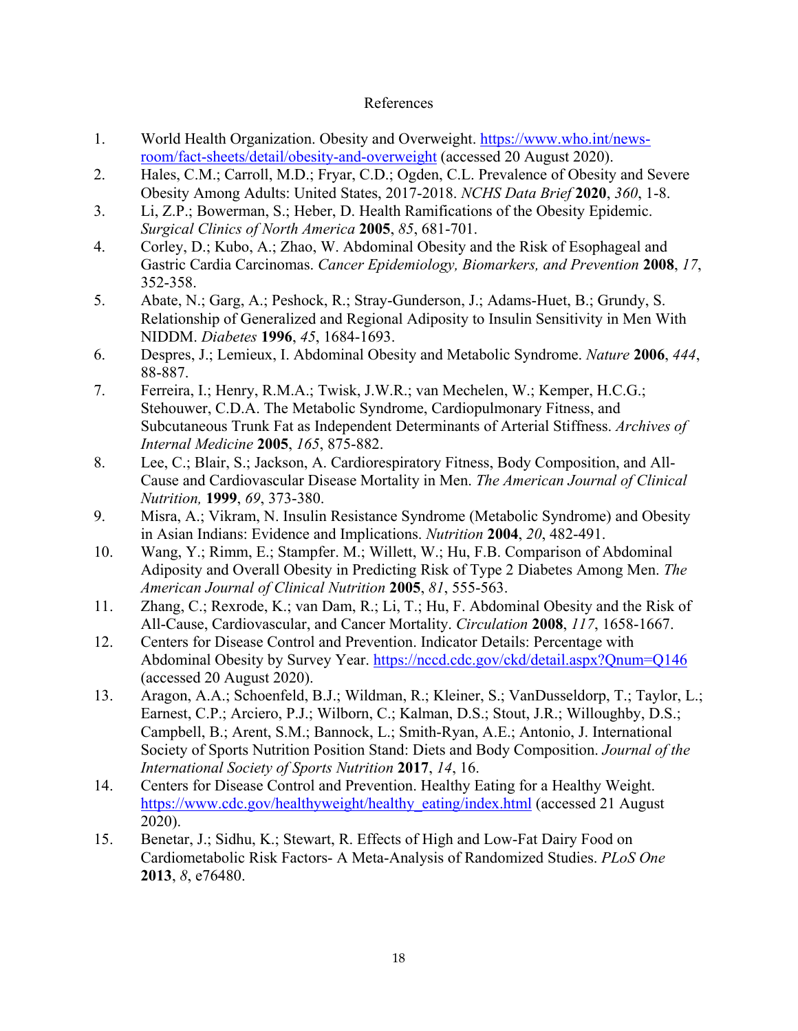## References

- <span id="page-23-0"></span>1. World Health Organization. Obesity and Overweight. [https://www.who.int/news](https://www.who.int/news-room/fact-sheets/detail/obesity-and-overweight)[room/fact-sheets/detail/obesity-and-overweight](https://www.who.int/news-room/fact-sheets/detail/obesity-and-overweight) (accessed 20 August 2020).
- 2. Hales, C.M.; Carroll, M.D.; Fryar, C.D.; Ogden, C.L. Prevalence of Obesity and Severe Obesity Among Adults: United States, 2017-2018. *NCHS Data Brief* **2020**, *360*, 1-8.
- 3. Li, Z.P.; Bowerman, S.; Heber, D. Health Ramifications of the Obesity Epidemic. *Surgical Clinics of North America* **2005**, *85*, 681-701.
- 4. Corley, D.; Kubo, A.; Zhao, W. Abdominal Obesity and the Risk of Esophageal and Gastric Cardia Carcinomas. *Cancer Epidemiology, Biomarkers, and Prevention* **2008**, *17*, 352-358.
- 5. Abate, N.; Garg, A.; Peshock, R.; Stray-Gunderson, J.; Adams-Huet, B.; Grundy, S. Relationship of Generalized and Regional Adiposity to Insulin Sensitivity in Men With NIDDM. *Diabetes* **1996**, *45*, 1684-1693.
- 6. Despres, J.; Lemieux, I. Abdominal Obesity and Metabolic Syndrome. *Nature* **2006**, *444*, 88-887.
- 7. Ferreira, I.; Henry, R.M.A.; Twisk, J.W.R.; van Mechelen, W.; Kemper, H.C.G.; Stehouwer, C.D.A. The Metabolic Syndrome, Cardiopulmonary Fitness, and Subcutaneous Trunk Fat as Independent Determinants of Arterial Stiffness. *Archives of Internal Medicine* **2005**, *165*, 875-882.
- 8. Lee, C.; Blair, S.; Jackson, A. Cardiorespiratory Fitness, Body Composition, and All-Cause and Cardiovascular Disease Mortality in Men. *The American Journal of Clinical Nutrition,* **1999**, *69*, 373-380.
- 9. Misra, A.; Vikram, N. Insulin Resistance Syndrome (Metabolic Syndrome) and Obesity in Asian Indians: Evidence and Implications. *Nutrition* **2004**, *20*, 482-491.
- 10. Wang, Y.; Rimm, E.; Stampfer. M.; Willett, W.; Hu, F.B. Comparison of Abdominal Adiposity and Overall Obesity in Predicting Risk of Type 2 Diabetes Among Men. *The American Journal of Clinical Nutrition* **2005**, *81*, 555-563.
- 11. Zhang, C.; Rexrode, K.; van Dam, R.; Li, T.; Hu, F. Abdominal Obesity and the Risk of All-Cause, Cardiovascular, and Cancer Mortality. *Circulation* **2008**, *117*, 1658-1667.
- 12. Centers for Disease Control and Prevention. Indicator Details: Percentage with Abdominal Obesity by Survey Year.<https://nccd.cdc.gov/ckd/detail.aspx?Qnum=Q146> (accessed 20 August 2020).
- 13. Aragon, A.A.; Schoenfeld, B.J.; Wildman, R.; Kleiner, S.; VanDusseldorp, T.; Taylor, L.; Earnest, C.P.; Arciero, P.J.; Wilborn, C.; Kalman, D.S.; Stout, J.R.; Willoughby, D.S.; Campbell, B.; Arent, S.M.; Bannock, L.; Smith-Ryan, A.E.; Antonio, J. International Society of Sports Nutrition Position Stand: Diets and Body Composition. *Journal of the International Society of Sports Nutrition* **2017**, *14*, 16.
- 14. Centers for Disease Control and Prevention. Healthy Eating for a Healthy Weight. [https://www.cdc.gov/healthyweight/healthy\\_eating/index.html](https://www.cdc.gov/healthyweight/healthy_eating/index.html) (accessed 21 August) 2020).
- 15. Benetar, J.; Sidhu, K.; Stewart, R. Effects of High and Low-Fat Dairy Food on Cardiometabolic Risk Factors- A Meta-Analysis of Randomized Studies. *PLoS One*  **2013**, *8*, e76480.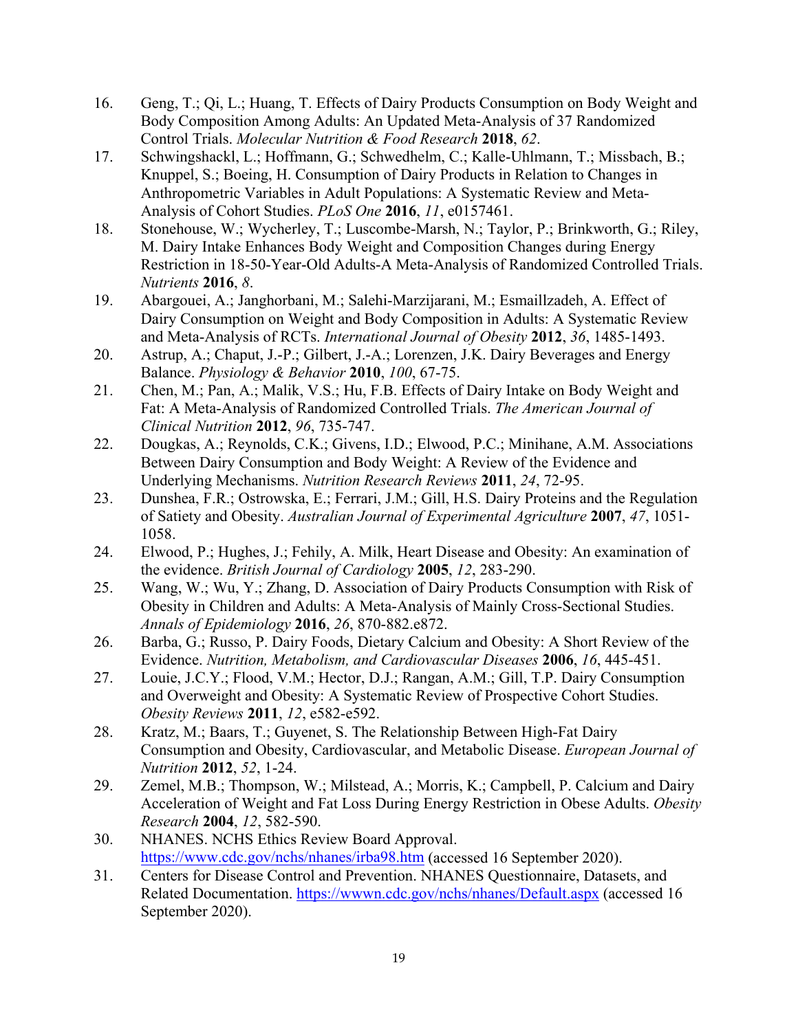- 16. Geng, T.; Qi, L.; Huang, T. Effects of Dairy Products Consumption on Body Weight and Body Composition Among Adults: An Updated Meta-Analysis of 37 Randomized Control Trials. *Molecular Nutrition & Food Research* **2018**, *62*.
- 17. Schwingshackl, L.; Hoffmann, G.; Schwedhelm, C.; Kalle-Uhlmann, T.; Missbach, B.; Knuppel, S.; Boeing, H. Consumption of Dairy Products in Relation to Changes in Anthropometric Variables in Adult Populations: A Systematic Review and Meta-Analysis of Cohort Studies. *PLoS One* **2016**, *11*, e0157461.
- 18. Stonehouse, W.; Wycherley, T.; Luscombe-Marsh, N.; Taylor, P.; Brinkworth, G.; Riley, M. Dairy Intake Enhances Body Weight and Composition Changes during Energy Restriction in 18-50-Year-Old Adults-A Meta-Analysis of Randomized Controlled Trials. *Nutrients* **2016**, *8*.
- 19. Abargouei, A.; Janghorbani, M.; Salehi-Marzijarani, M.; Esmaillzadeh, A. Effect of Dairy Consumption on Weight and Body Composition in Adults: A Systematic Review and Meta-Analysis of RCTs. *International Journal of Obesity* **2012**, *36*, 1485-1493.
- 20. Astrup, A.; Chaput, J.-P.; Gilbert, J.-A.; Lorenzen, J.K. Dairy Beverages and Energy Balance. *Physiology & Behavior* **2010**, *100*, 67-75.
- 21. Chen, M.; Pan, A.; Malik, V.S.; Hu, F.B. Effects of Dairy Intake on Body Weight and Fat: A Meta-Analysis of Randomized Controlled Trials. *The American Journal of Clinical Nutrition* **2012**, *96*, 735-747.
- 22. Dougkas, A.; Reynolds, C.K.; Givens, I.D.; Elwood, P.C.; Minihane, A.M. Associations Between Dairy Consumption and Body Weight: A Review of the Evidence and Underlying Mechanisms. *Nutrition Research Reviews* **2011**, *24*, 72-95.
- 23. Dunshea, F.R.; Ostrowska, E.; Ferrari, J.M.; Gill, H.S. Dairy Proteins and the Regulation of Satiety and Obesity. *Australian Journal of Experimental Agriculture* **2007**, *47*, 1051- 1058.
- 24. Elwood, P.; Hughes, J.; Fehily, A. Milk, Heart Disease and Obesity: An examination of the evidence. *British Journal of Cardiology* **2005**, *12*, 283-290.
- 25. Wang, W.; Wu, Y.; Zhang, D. Association of Dairy Products Consumption with Risk of Obesity in Children and Adults: A Meta-Analysis of Mainly Cross-Sectional Studies. *Annals of Epidemiology* **2016**, *26*, 870-882.e872.
- 26. Barba, G.; Russo, P. Dairy Foods, Dietary Calcium and Obesity: A Short Review of the Evidence. *Nutrition, Metabolism, and Cardiovascular Diseases* **2006**, *16*, 445-451.
- 27. Louie, J.C.Y.; Flood, V.M.; Hector, D.J.; Rangan, A.M.; Gill, T.P. Dairy Consumption and Overweight and Obesity: A Systematic Review of Prospective Cohort Studies. *Obesity Reviews* **2011**, *12*, e582-e592.
- 28. Kratz, M.; Baars, T.; Guyenet, S. The Relationship Between High-Fat Dairy Consumption and Obesity, Cardiovascular, and Metabolic Disease. *European Journal of Nutrition* **2012**, *52*, 1-24.
- 29. Zemel, M.B.; Thompson, W.; Milstead, A.; Morris, K.; Campbell, P. Calcium and Dairy Acceleration of Weight and Fat Loss During Energy Restriction in Obese Adults. *Obesity Research* **2004**, *12*, 582-590.
- 30. NHANES. NCHS Ethics Review Board Approval. <https://www.cdc.gov/nchs/nhanes/irba98.htm> (accessed 16 September 2020).
- 31. Centers for Disease Control and Prevention. NHANES Questionnaire, Datasets, and Related Documentation.<https://wwwn.cdc.gov/nchs/nhanes/Default.aspx> (accessed 16 September 2020).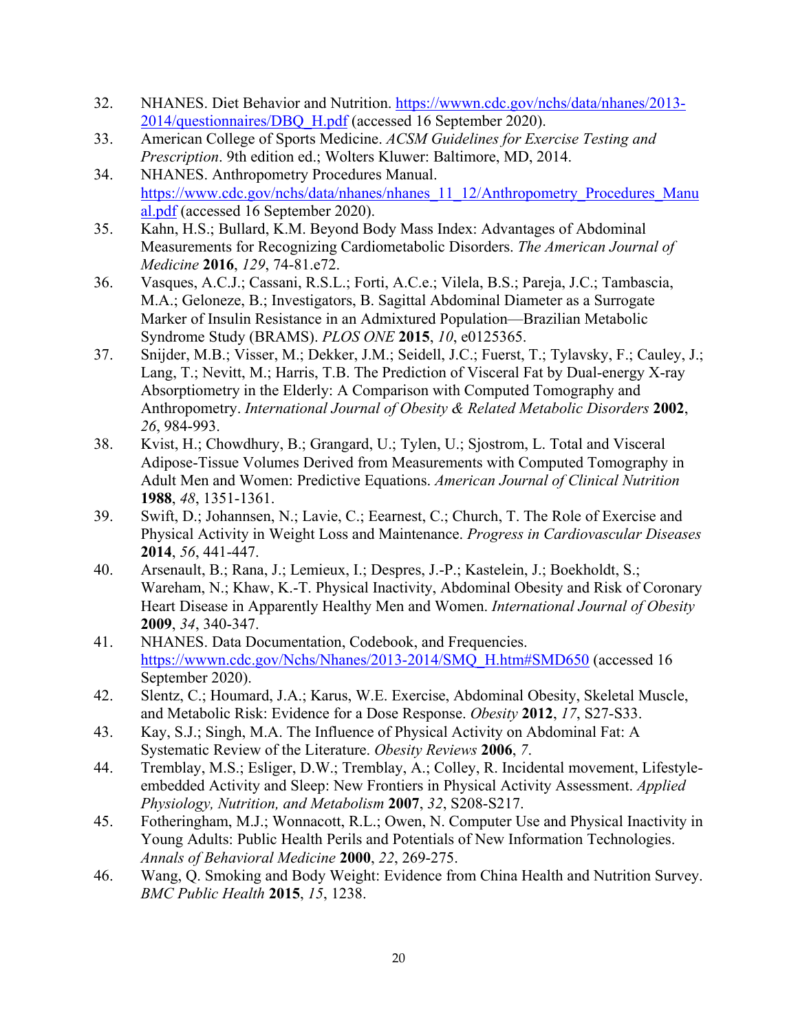- 32. NHANES. Diet Behavior and Nutrition. [https://wwwn.cdc.gov/nchs/data/nhanes/2013-](https://wwwn.cdc.gov/nchs/data/nhanes/2013-2014/questionnaires/DBQ_H.pdf) [2014/questionnaires/DBQ\\_H.pdf](https://wwwn.cdc.gov/nchs/data/nhanes/2013-2014/questionnaires/DBQ_H.pdf) (accessed 16 September 2020).
- 33. American College of Sports Medicine. *ACSM Guidelines for Exercise Testing and Prescription*. 9th edition ed.; Wolters Kluwer: Baltimore, MD, 2014.
- 34. NHANES. Anthropometry Procedures Manual. [https://www.cdc.gov/nchs/data/nhanes/nhanes\\_11\\_12/Anthropometry\\_Procedures\\_Manu](https://www.cdc.gov/nchs/data/nhanes/nhanes_11_12/Anthropometry_Procedures_Manual.pdf) [al.pdf](https://www.cdc.gov/nchs/data/nhanes/nhanes_11_12/Anthropometry_Procedures_Manual.pdf) (accessed 16 September 2020).
- 35. Kahn, H.S.; Bullard, K.M. Beyond Body Mass Index: Advantages of Abdominal Measurements for Recognizing Cardiometabolic Disorders. *The American Journal of Medicine* **2016**, *129*, 74-81.e72.
- 36. Vasques, A.C.J.; Cassani, R.S.L.; Forti, A.C.e.; Vilela, B.S.; Pareja, J.C.; Tambascia, M.A.; Geloneze, B.; Investigators, B. Sagittal Abdominal Diameter as a Surrogate Marker of Insulin Resistance in an Admixtured Population—Brazilian Metabolic Syndrome Study (BRAMS). *PLOS ONE* **2015**, *10*, e0125365.
- 37. Snijder, M.B.; Visser, M.; Dekker, J.M.; Seidell, J.C.; Fuerst, T.; Tylavsky, F.; Cauley, J.; Lang, T.; Nevitt, M.; Harris, T.B. The Prediction of Visceral Fat by Dual-energy X-ray Absorptiometry in the Elderly: A Comparison with Computed Tomography and Anthropometry. *International Journal of Obesity & Related Metabolic Disorders* **2002**, *26*, 984-993.
- 38. Kvist, H.; Chowdhury, B.; Grangard, U.; Tylen, U.; Sjostrom, L. Total and Visceral Adipose-Tissue Volumes Derived from Measurements with Computed Tomography in Adult Men and Women: Predictive Equations. *American Journal of Clinical Nutrition*  **1988**, *48*, 1351-1361.
- 39. Swift, D.; Johannsen, N.; Lavie, C.; Eearnest, C.; Church, T. The Role of Exercise and Physical Activity in Weight Loss and Maintenance. *Progress in Cardiovascular Diseases*  **2014**, *56*, 441-447.
- 40. Arsenault, B.; Rana, J.; Lemieux, I.; Despres, J.-P.; Kastelein, J.; Boekholdt, S.; Wareham, N.; Khaw, K.-T. Physical Inactivity, Abdominal Obesity and Risk of Coronary Heart Disease in Apparently Healthy Men and Women. *International Journal of Obesity*  **2009**, *34*, 340-347.
- 41. NHANES. Data Documentation, Codebook, and Frequencies. [https://wwwn.cdc.gov/Nchs/Nhanes/2013-2014/SMQ\\_H.htm#SMD650](https://wwwn.cdc.gov/Nchs/Nhanes/2013-2014/SMQ_H.htm#SMD650) (accessed 16 September 2020).
- 42. Slentz, C.; Houmard, J.A.; Karus, W.E. Exercise, Abdominal Obesity, Skeletal Muscle, and Metabolic Risk: Evidence for a Dose Response. *Obesity* **2012**, *17*, S27-S33.
- 43. Kay, S.J.; Singh, M.A. The Influence of Physical Activity on Abdominal Fat: A Systematic Review of the Literature. *Obesity Reviews* **2006**, *7*.
- 44. Tremblay, M.S.; Esliger, D.W.; Tremblay, A.; Colley, R. Incidental movement, Lifestyleembedded Activity and Sleep: New Frontiers in Physical Activity Assessment. *Applied Physiology, Nutrition, and Metabolism* **2007**, *32*, S208-S217.
- 45. Fotheringham, M.J.; Wonnacott, R.L.; Owen, N. Computer Use and Physical Inactivity in Young Adults: Public Health Perils and Potentials of New Information Technologies. *Annals of Behavioral Medicine* **2000**, *22*, 269-275.
- 46. Wang, Q. Smoking and Body Weight: Evidence from China Health and Nutrition Survey. *BMC Public Health* **2015**, *15*, 1238.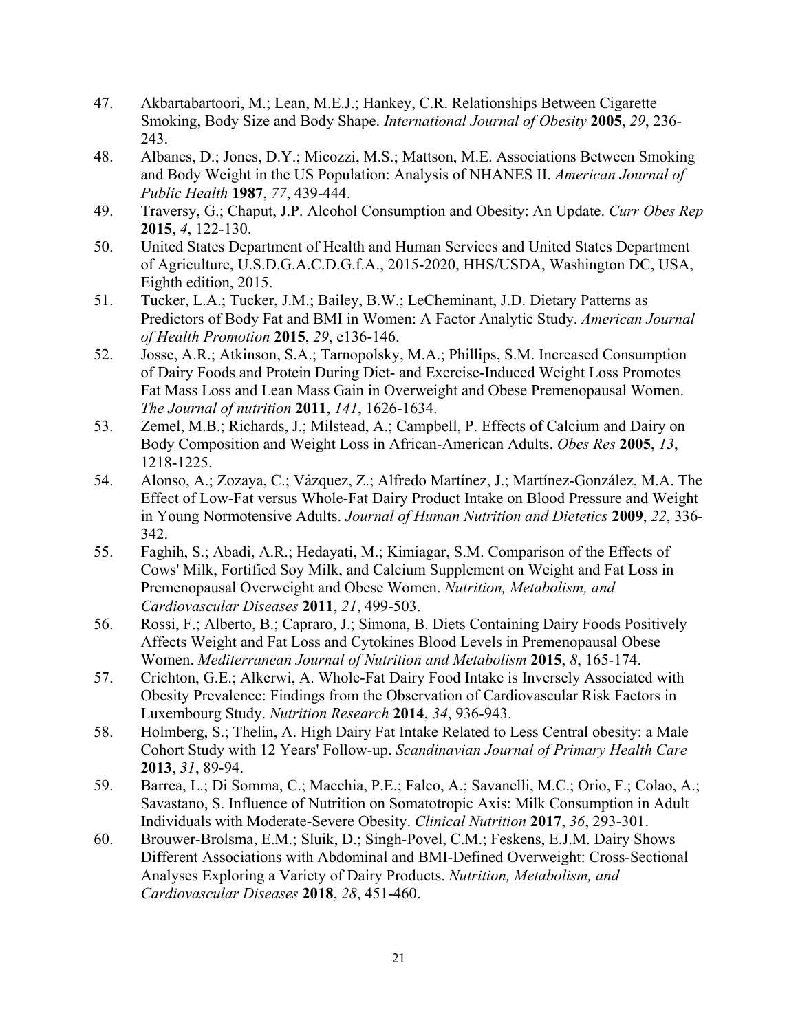- 47. Akbartabartoori, M.; Lean, M.E.J.; Hankey, C.R. Relationships Between Cigarette Smoking, Body Size and Body Shape. *International Journal of Obesity* **2005**, *29*, 236- 243.
- 48. Albanes, D.; Jones, D.Y.; Micozzi, M.S.; Mattson, M.E. Associations Between Smoking and Body Weight in the US Population: Analysis of NHANES II. *American Journal of Public Health* **1987**, *77*, 439-444.
- 49. Traversy, G.; Chaput, J.P. Alcohol Consumption and Obesity: An Update. *Curr Obes Rep*  **2015**, *4*, 122-130.
- 50. United States Department of Health and Human Services and United States Department of Agriculture, U.S.D.G.A.C.D.G.f.A., 2015-2020, HHS/USDA, Washington DC, USA, Eighth edition, 2015.
- 51. Tucker, L.A.; Tucker, J.M.; Bailey, B.W.; LeCheminant, J.D. Dietary Patterns as Predictors of Body Fat and BMI in Women: A Factor Analytic Study. *American Journal of Health Promotion* **2015**, *29*, e136-146.
- 52. Josse, A.R.; Atkinson, S.A.; Tarnopolsky, M.A.; Phillips, S.M. Increased Consumption of Dairy Foods and Protein During Diet- and Exercise-Induced Weight Loss Promotes Fat Mass Loss and Lean Mass Gain in Overweight and Obese Premenopausal Women. *The Journal of nutrition* **2011**, *141*, 1626-1634.
- 53. Zemel, M.B.; Richards, J.; Milstead, A.; Campbell, P. Effects of Calcium and Dairy on Body Composition and Weight Loss in African-American Adults. *Obes Res* **2005**, *13*, 1218-1225.
- 54. Alonso, A.; Zozaya, C.; Vázquez, Z.; Alfredo Martínez, J.; Martínez-González, M.A. The Effect of Low-Fat versus Whole-Fat Dairy Product Intake on Blood Pressure and Weight in Young Normotensive Adults. *Journal of Human Nutrition and Dietetics* **2009**, *22*, 336- 342.
- 55. Faghih, S.; Abadi, A.R.; Hedayati, M.; Kimiagar, S.M. Comparison of the Effects of Cows' Milk, Fortified Soy Milk, and Calcium Supplement on Weight and Fat Loss in Premenopausal Overweight and Obese Women. *Nutrition, Metabolism, and Cardiovascular Diseases* **2011**, *21*, 499-503.
- 56. Rossi, F.; Alberto, B.; Capraro, J.; Simona, B. Diets Containing Dairy Foods Positively Affects Weight and Fat Loss and Cytokines Blood Levels in Premenopausal Obese Women. *Mediterranean Journal of Nutrition and Metabolism* **2015**, *8*, 165-174.
- 57. Crichton, G.E.; Alkerwi, A. Whole-Fat Dairy Food Intake is Inversely Associated with Obesity Prevalence: Findings from the Observation of Cardiovascular Risk Factors in Luxembourg Study. *Nutrition Research* **2014**, *34*, 936-943.
- 58. Holmberg, S.; Thelin, A. High Dairy Fat Intake Related to Less Central obesity: a Male Cohort Study with 12 Years' Follow-up. *Scandinavian Journal of Primary Health Care*  **2013**, *31*, 89-94.
- 59. Barrea, L.; Di Somma, C.; Macchia, P.E.; Falco, A.; Savanelli, M.C.; Orio, F.; Colao, A.; Savastano, S. Influence of Nutrition on Somatotropic Axis: Milk Consumption in Adult Individuals with Moderate-Severe Obesity. *Clinical Nutrition* **2017**, *36*, 293-301.
- 60. Brouwer-Brolsma, E.M.; Sluik, D.; Singh-Povel, C.M.; Feskens, E.J.M. Dairy Shows Different Associations with Abdominal and BMI-Defined Overweight: Cross-Sectional Analyses Exploring a Variety of Dairy Products. *Nutrition, Metabolism, and Cardiovascular Diseases* **2018**, *28*, 451-460.